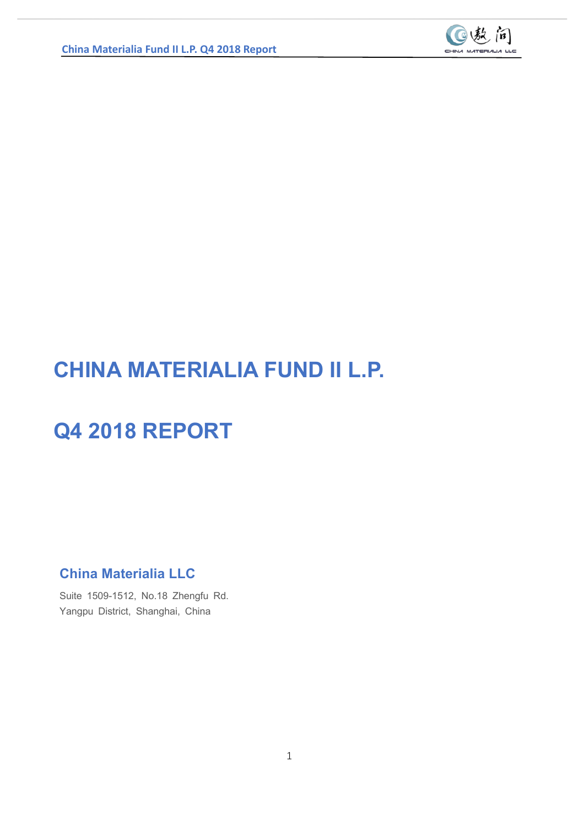

## **CHINA MATERIALIA FUND II L.P.**

## **Q4 2018 REPORT**

**China Materialia LLC**

Suite 1509-1512, No.18 Zhengfu Rd. Yangpu District, Shanghai, China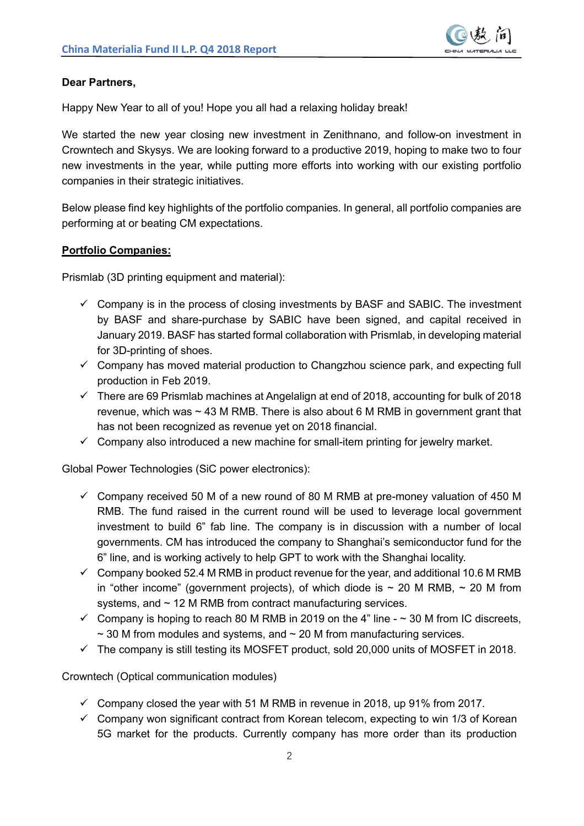

#### **Dear Partners,**

Happy New Year to all of you! Hope you all had a relaxing holiday break!

We started the new year closing new investment in Zenithnano, and follow-on investment in Crowntech and Skysys. We are looking forward to a productive 2019, hoping to make two to four new investments in the year, while putting more efforts into working with our existing portfolio companies in their strategic initiatives.

Below please find key highlights of the portfolio companies. In general, all portfolio companies are performing at or beating CM expectations.

#### **Portfolio Companies:**

Prismlab (3D printing equipment and material):

- $\checkmark$  Company is in the process of closing investments by BASF and SABIC. The investment by BASF and share-purchase by SABIC have been signed, and capital received in January 2019. BASF has started formal collaboration with Prismlab, in developing material for 3D-printing of shoes.
- $\checkmark$  Company has moved material production to Changzhou science park, and expecting full production in Feb 2019.
- $\checkmark$  There are 69 Prismlab machines at Angelalign at end of 2018, accounting for bulk of 2018 revenue, which was  $\sim$  43 M RMB. There is also about 6 M RMB in government grant that has not been recognized as revenue yet on 2018 financial.
- $\checkmark$  Company also introduced a new machine for small-item printing for jewelry market.

Global Power Technologies (SiC power electronics):

- $\checkmark$  Company received 50 M of a new round of 80 M RMB at pre-money valuation of 450 M RMB. The fund raised in the current round will be used to leverage local government investment to build 6" fab line. The company is in discussion with a number of local governments. CM has introduced the company to Shanghai's semiconductor fund for the 6" line, and is working actively to help GPT to work with the Shanghai locality.
- $\checkmark$  Company booked 52.4 M RMB in product revenue for the year, and additional 10.6 M RMB in "other income" (government projects), of which diode is  $\sim$  20 M RMB,  $\sim$  20 M from systems, and  $\sim$  12 M RMB from contract manufacturing services.
- $\checkmark$  Company is hoping to reach 80 M RMB in 2019 on the 4" line  $\sim$  30 M from IC discreets,  $\sim$  30 M from modules and systems, and  $\sim$  20 M from manufacturing services.
- $\checkmark$  The company is still testing its MOSFET product, sold 20,000 units of MOSFET in 2018.

Crowntech (Optical communication modules)

- $\checkmark$  Company closed the year with 51 M RMB in revenue in 2018, up 91% from 2017.
- $\checkmark$  Company won significant contract from Korean telecom, expecting to win 1/3 of Korean 5G market for the products. Currently company has more order than its production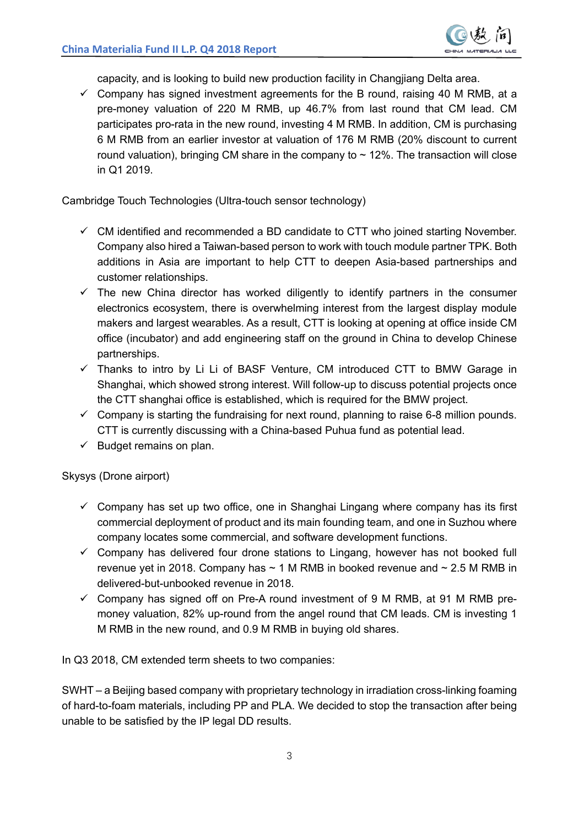capacity, and is looking to build new production facility in Changjiang Delta area.

 $\checkmark$  Company has signed investment agreements for the B round, raising 40 M RMB, at a pre-money valuation of 220 M RMB, up 46.7% from last round that CM lead. CM participates pro-rata in the new round, investing 4 M RMB. In addition, CM is purchasing 6 M RMB from an earlier investor at valuation of 176 M RMB (20% discount to current round valuation), bringing CM share in the company to  $\sim$  12%. The transaction will close in Q1 2019.

Cambridge Touch Technologies (Ultra-touch sensor technology)

- $\checkmark$  CM identified and recommended a BD candidate to CTT who joined starting November. Company also hired a Taiwan-based person to work with touch module partner TPK. Both additions in Asia are important to help CTT to deepen Asia-based partnerships and customer relationships.
- $\checkmark$  The new China director has worked diligently to identify partners in the consumer electronics ecosystem, there is overwhelming interest from the largest display module makers and largest wearables. As a result, CTT is looking at opening at office inside CM office (incubator) and add engineering staff on the ground in China to develop Chinese partnerships.
- $\checkmark$  Thanks to intro by Li Li of BASF Venture, CM introduced CTT to BMW Garage in Shanghai, which showed strong interest. Will follow-up to discuss potential projects once the CTT shanghai office is established, which is required for the BMW project.
- $\checkmark$  Company is starting the fundraising for next round, planning to raise 6-8 million pounds. CTT is currently discussing with a China-based Puhua fund as potential lead.
- $\checkmark$  Budget remains on plan.

Skysys (Drone airport)

- $\checkmark$  Company has set up two office, one in Shanghai Lingang where company has its first commercial deployment of product and its main founding team, and one in Suzhou where company locates some commercial, and software development functions.
- $\checkmark$  Company has delivered four drone stations to Lingang, however has not booked full revenue yet in 2018. Company has  $\sim$  1 M RMB in booked revenue and  $\sim$  2.5 M RMB in delivered-but-unbooked revenue in 2018.
- $\checkmark$  Company has signed off on Pre-A round investment of 9 M RMB, at 91 M RMB premoney valuation, 82% up-round from the angel round that CM leads. CM is investing 1 M RMB in the new round, and 0.9 M RMB in buying old shares.

In Q3 2018, CM extended term sheets to two companies:

SWHT – a Beijing based company with proprietary technology in irradiation cross-linking foaming of hard-to-foam materials, including PP and PLA. We decided to stop the transaction after being unable to be satisfied by the IP legal DD results.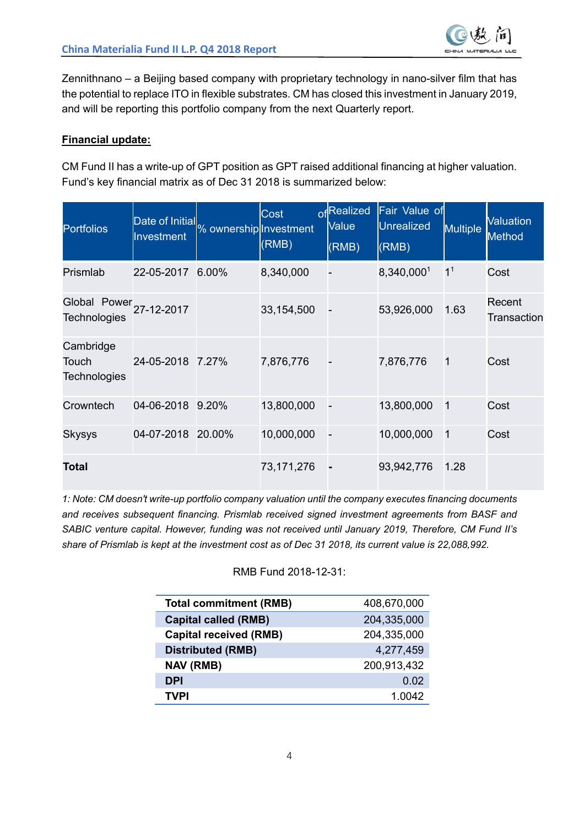

Zennithnano – a Beijing based company with proprietary technology in nano-silver film that has the potential to replace ITO in flexible substrates. CM has closed this investment in January 2019, and will be reporting this portfolio company from the next Quarterly report.

#### **Financial update:**

CM Fund II has a write-up of GPT position as GPT raised additional financing at higher valuation. Fund's key financial matrix as of Dec 31 2018 is summarized below:

| <b>Portfolios</b>                                         | Date of Initial<br>Investment | % ownership Investment | Cost<br>(RMB) | ofRealized<br>Value<br>(RMB) | Fair Value of<br><b>Unrealized</b><br>(RMB) | Multiple       | <b>Valuation</b><br><b>Method</b> |
|-----------------------------------------------------------|-------------------------------|------------------------|---------------|------------------------------|---------------------------------------------|----------------|-----------------------------------|
| Prismlab                                                  | 22-05-2017                    | 6.00%                  | 8,340,000     |                              | 8,340,0001                                  | 1 <sup>1</sup> | Cost                              |
| Global Power <sub>27-12-2017</sub><br><b>Technologies</b> |                               |                        | 33,154,500    |                              | 53,926,000                                  | 1.63           | Recent<br>Transaction             |
| Cambridge<br>Touch<br><b>Technologies</b>                 | 24-05-2018                    | 7.27%                  | 7,876,776     |                              | 7,876,776                                   | 1              | Cost                              |
| Crowntech                                                 | 04-06-2018                    | 9.20%                  | 13,800,000    | Ξ                            | 13,800,000                                  | 1              | Cost                              |
| Skysys                                                    | 04-07-2018                    | 20.00%                 | 10,000,000    |                              | 10,000,000                                  | 1              | Cost                              |
| <b>Total</b>                                              |                               |                        | 73,171,276    |                              | 93,942,776                                  | 1.28           |                                   |

*1: Note: CM doesn't write-up portfolio company valuation until the company executes financing documents and receives subsequent financing. Prismlab received signed investment agreements from BASF and SABIC venture capital. However, funding was not received until January 2019, Therefore, CM Fund II's share of Prismlab is kept at the investment cost as of Dec 31 2018, its current value is 22,088,992.*

#### RMB Fund 2018-12-31:

| <b>Total commitment (RMB)</b> | 408,670,000 |
|-------------------------------|-------------|
| <b>Capital called (RMB)</b>   | 204,335,000 |
| <b>Capital received (RMB)</b> | 204,335,000 |
| <b>Distributed (RMB)</b>      | 4,277,459   |
| <b>NAV (RMB)</b>              | 200,913,432 |
| <b>DPI</b>                    | 0.02        |
| TVPI                          | 1.0042      |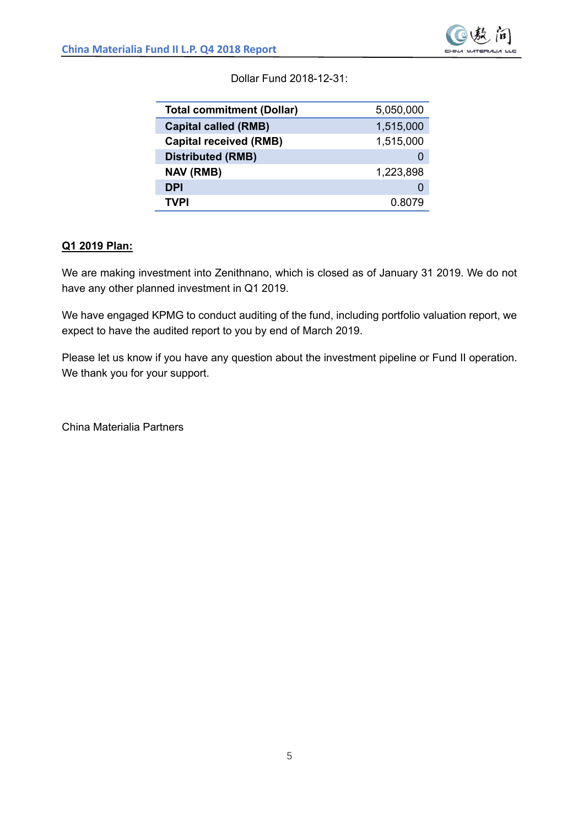

Dollar Fund 2018-12-31:

| <b>Total commitment (Dollar)</b> | 5,050,000 |
|----------------------------------|-----------|
| <b>Capital called (RMB)</b>      | 1,515,000 |
| <b>Capital received (RMB)</b>    | 1,515,000 |
| <b>Distributed (RMB)</b>         |           |
| <b>NAV (RMB)</b>                 | 1,223,898 |
| <b>DPI</b>                       |           |
| TVPI                             |           |

#### **Q1 2019 Plan:**

We are making investment into Zenithnano, which is closed as of January 31 2019. We do not have any other planned investment in Q1 2019.

We have engaged KPMG to conduct auditing of the fund, including portfolio valuation report, we expect to have the audited report to you by end of March 2019.

Please let us know if you have any question about the investment pipeline or Fund II operation. We thank you for your support.

China Materialia Partners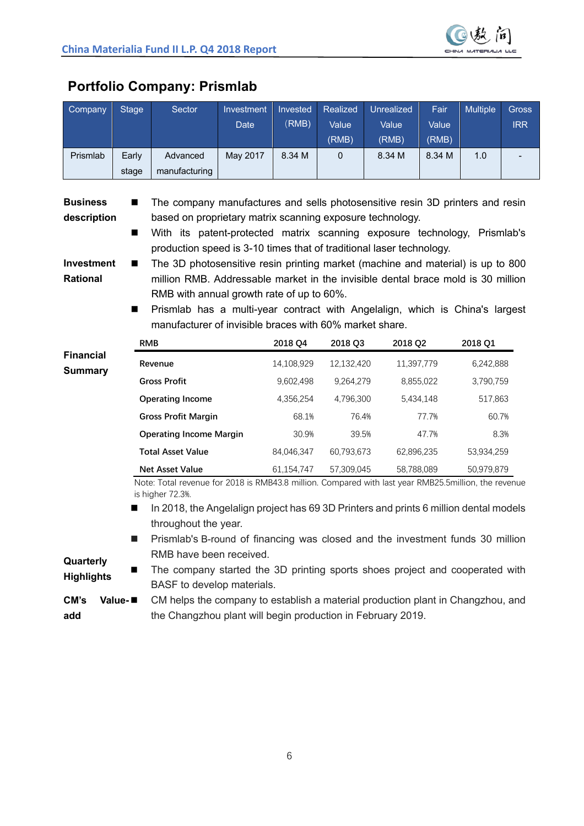

| Company                                                                                                                                                                                                                                                                                                                                                                                                                                                                                                                                                                                                                                                                               | <b>Stage</b>                                                                                                                                                                                                                                                                                      | Sector                                                  | Investment<br><b>Date</b> | Invested<br>(RMB) | Realized<br>Value<br>(RMB) | <b>Unrealized</b><br>Value<br>(RMB) | Fair<br>Value<br>(RMB) | Multiple   | Gross<br><b>IRR</b> |
|---------------------------------------------------------------------------------------------------------------------------------------------------------------------------------------------------------------------------------------------------------------------------------------------------------------------------------------------------------------------------------------------------------------------------------------------------------------------------------------------------------------------------------------------------------------------------------------------------------------------------------------------------------------------------------------|---------------------------------------------------------------------------------------------------------------------------------------------------------------------------------------------------------------------------------------------------------------------------------------------------|---------------------------------------------------------|---------------------------|-------------------|----------------------------|-------------------------------------|------------------------|------------|---------------------|
| Prismlab                                                                                                                                                                                                                                                                                                                                                                                                                                                                                                                                                                                                                                                                              | Early<br>stage                                                                                                                                                                                                                                                                                    | Advanced<br>manufacturing                               | May 2017                  | 8.34 M            | 0                          | 8.34 M                              | 8.34 M                 | 1.0        |                     |
| The company manufactures and sells photosensitive resin 3D printers and resin<br><b>Business</b><br>description<br>based on proprietary matrix scanning exposure technology.<br>With its patent-protected matrix scanning exposure technology, Prismlab's<br>■<br>production speed is 3-10 times that of traditional laser technology.<br>Investment<br>The 3D photosensitive resin printing market (machine and material) is up to 800<br>▬<br>million RMB. Addressable market in the invisible dental brace mold is 30 million<br><b>Rational</b><br>RMB with annual growth rate of up to 60%.<br>Prismlab has a multi-year contract with Angelalign, which is China's largest<br>▬ |                                                                                                                                                                                                                                                                                                   |                                                         |                           |                   |                            |                                     |                        |            |                     |
|                                                                                                                                                                                                                                                                                                                                                                                                                                                                                                                                                                                                                                                                                       |                                                                                                                                                                                                                                                                                                   | manufacturer of invisible braces with 60% market share. |                           |                   |                            |                                     |                        |            |                     |
|                                                                                                                                                                                                                                                                                                                                                                                                                                                                                                                                                                                                                                                                                       | <b>RMB</b>                                                                                                                                                                                                                                                                                        |                                                         |                           | 2018 Q4           | 2018 Q3                    | 2018 Q2                             |                        | 2018 Q1    |                     |
| <b>Financial</b><br><b>Summary</b>                                                                                                                                                                                                                                                                                                                                                                                                                                                                                                                                                                                                                                                    |                                                                                                                                                                                                                                                                                                   | Revenue                                                 |                           | 14,108,929        | 12,132,420                 | 11,397,779                          |                        | 6,242,888  |                     |
|                                                                                                                                                                                                                                                                                                                                                                                                                                                                                                                                                                                                                                                                                       |                                                                                                                                                                                                                                                                                                   | <b>Gross Profit</b>                                     |                           | 9,602,498         | 9,264,279                  |                                     | 8,855,022              | 3,790,759  |                     |
|                                                                                                                                                                                                                                                                                                                                                                                                                                                                                                                                                                                                                                                                                       |                                                                                                                                                                                                                                                                                                   | <b>Operating Income</b>                                 |                           | 4,356,254         | 4,796,300                  |                                     | 5,434,148              | 517,863    |                     |
|                                                                                                                                                                                                                                                                                                                                                                                                                                                                                                                                                                                                                                                                                       |                                                                                                                                                                                                                                                                                                   | <b>Gross Profit Margin</b>                              |                           | 68.1%             | 76.4%                      |                                     | 77.7%                  | 60.7%      |                     |
|                                                                                                                                                                                                                                                                                                                                                                                                                                                                                                                                                                                                                                                                                       |                                                                                                                                                                                                                                                                                                   | <b>Operating Income Margin</b>                          |                           | 30.9%             | 39.5%                      |                                     | 47.7%                  | 8.3%       |                     |
|                                                                                                                                                                                                                                                                                                                                                                                                                                                                                                                                                                                                                                                                                       |                                                                                                                                                                                                                                                                                                   | <b>Total Asset Value</b>                                |                           | 84,046,347        | 60,793,673                 | 62,896,235                          |                        | 53,934,259 |                     |
|                                                                                                                                                                                                                                                                                                                                                                                                                                                                                                                                                                                                                                                                                       |                                                                                                                                                                                                                                                                                                   | <b>Net Asset Value</b>                                  |                           | 61,154,747        | 57,309,045                 | 58,788,089                          |                        | 50,979,879 |                     |
| Note: Total revenue for 2018 is RMB43.8 million. Compared with last year RMB25.5million, the revenue<br>is higher 72.3%.<br>In 2018, the Angelalign project has 69 3D Printers and prints 6 million dental models<br>■<br>throughout the year.<br>Prismlab's B-round of financing was closed and the investment funds 30 million                                                                                                                                                                                                                                                                                                                                                      |                                                                                                                                                                                                                                                                                                   |                                                         |                           |                   |                            |                                     |                        |            |                     |
| Quarterly<br><b>Highlights</b><br>CM's<br>add                                                                                                                                                                                                                                                                                                                                                                                                                                                                                                                                                                                                                                         | RMB have been received.<br>The company started the 3D printing sports shoes project and cooperated with<br>BASF to develop materials.<br>Value-<br>CM helps the company to establish a material production plant in Changzhou, and<br>the Changzhou plant will begin production in February 2019. |                                                         |                           |                   |                            |                                     |                        |            |                     |

## **Portfolio Company: Prismlab**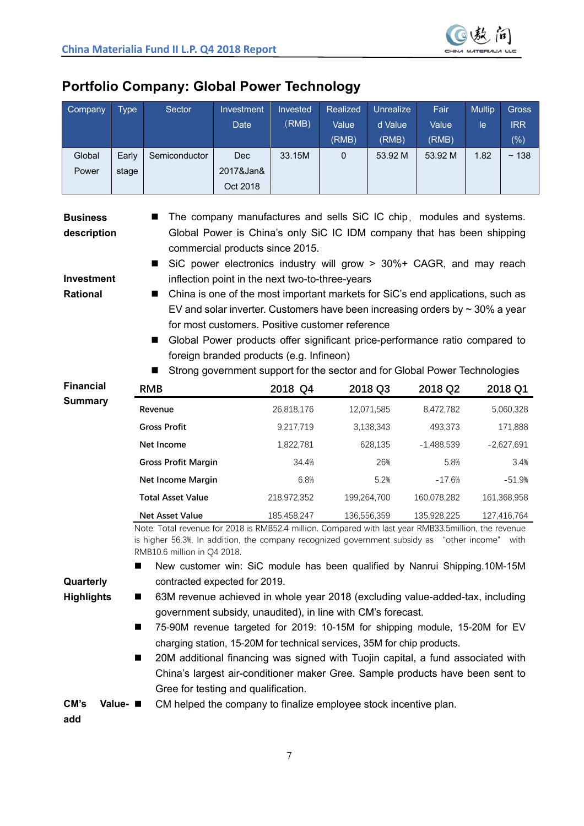

## **Portfolio Company: Global Power Technology**

| Company                                                                                                                                                                                                      | <b>Type</b> | Sector                                                                                                                                       | Investment<br><b>Date</b>                                                                                               | Invested<br>(RMB) | Realized<br>Value | Unrealize<br>d Value | Fair<br>Value | <b>Multip</b><br>le | Gross<br><b>IRR</b> |
|--------------------------------------------------------------------------------------------------------------------------------------------------------------------------------------------------------------|-------------|----------------------------------------------------------------------------------------------------------------------------------------------|-------------------------------------------------------------------------------------------------------------------------|-------------------|-------------------|----------------------|---------------|---------------------|---------------------|
|                                                                                                                                                                                                              |             |                                                                                                                                              |                                                                                                                         |                   | (RMB)             | (RMB)                | (RMB)         |                     | $(\% )$             |
| Global                                                                                                                                                                                                       | Early       | Semiconductor                                                                                                                                | Dec                                                                                                                     | 33.15M            | $\mathbf 0$       | 53.92 M              | 53.92 M       | 1.82                | ~138                |
| Power                                                                                                                                                                                                        | stage       |                                                                                                                                              | 2017&Jan&                                                                                                               |                   |                   |                      |               |                     |                     |
|                                                                                                                                                                                                              |             |                                                                                                                                              | Oct 2018                                                                                                                |                   |                   |                      |               |                     |                     |
| <b>Business</b>                                                                                                                                                                                              |             |                                                                                                                                              | The company manufactures and sells SiC IC chip, modules and systems.                                                    |                   |                   |                      |               |                     |                     |
| Global Power is China's only SiC IC IDM company that has been shipping<br>description                                                                                                                        |             |                                                                                                                                              |                                                                                                                         |                   |                   |                      |               |                     |                     |
| commercial products since 2015.<br>SiC power electronics industry will grow > 30%+ CAGR, and may reach                                                                                                       |             |                                                                                                                                              |                                                                                                                         |                   |                   |                      |               |                     |                     |
| <b>Investment</b>                                                                                                                                                                                            |             | ш                                                                                                                                            | inflection point in the next two-to-three-years                                                                         |                   |                   |                      |               |                     |                     |
| Rational                                                                                                                                                                                                     |             | ш                                                                                                                                            | China is one of the most important markets for SiC's end applications, such as                                          |                   |                   |                      |               |                     |                     |
|                                                                                                                                                                                                              |             |                                                                                                                                              | EV and solar inverter. Customers have been increasing orders by $\sim$ 30% a year                                       |                   |                   |                      |               |                     |                     |
|                                                                                                                                                                                                              |             |                                                                                                                                              | for most customers. Positive customer reference                                                                         |                   |                   |                      |               |                     |                     |
|                                                                                                                                                                                                              |             | ш                                                                                                                                            | Global Power products offer significant price-performance ratio compared to<br>foreign branded products (e.g. Infineon) |                   |                   |                      |               |                     |                     |
|                                                                                                                                                                                                              |             |                                                                                                                                              | Strong government support for the sector and for Global Power Technologies                                              |                   |                   |                      |               |                     |                     |
| <b>Financial</b>                                                                                                                                                                                             |             | <b>RMB</b>                                                                                                                                   |                                                                                                                         | 2018 Q4           |                   | 2018 Q3              | 2018 Q2       |                     | 2018 Q1             |
| <b>Summary</b>                                                                                                                                                                                               |             | Revenue                                                                                                                                      |                                                                                                                         | 26,818,176        |                   | 12,071,585           | 8,472,782     |                     | 5,060,328           |
|                                                                                                                                                                                                              |             | <b>Gross Profit</b>                                                                                                                          |                                                                                                                         | 9,217,719         |                   | 3,138,343            | 493,373       |                     | 171,888             |
|                                                                                                                                                                                                              |             | Net Income                                                                                                                                   |                                                                                                                         | 1,822,781         |                   | 628,135              | $-1,488,539$  |                     | $-2,627,691$        |
|                                                                                                                                                                                                              |             | <b>Gross Profit Margin</b>                                                                                                                   |                                                                                                                         | 34.4%             |                   | 26%                  | 5.8%          |                     | 3.4%                |
|                                                                                                                                                                                                              |             | <b>Net Income Margin</b>                                                                                                                     |                                                                                                                         | 6.8%              |                   | 5.2%                 | $-17.6%$      |                     | $-51.9%$            |
|                                                                                                                                                                                                              |             | <b>Total Asset Value</b>                                                                                                                     |                                                                                                                         | 218,972,352       | 199,264,700       |                      | 160,078,282   |                     | 161,368,958         |
|                                                                                                                                                                                                              |             | <b>Net Asset Value</b><br>Note: Total revenue for 2018 is RMB52.4 million. Compared with last year RMB33.5million, the revenue               |                                                                                                                         | 185,458,247       |                   | 136,556,359          | 135,928,225   |                     | 127,416,764         |
|                                                                                                                                                                                                              |             | is higher 56.3%. In addition, the company recognized government subsidy as "other income" with<br>RMB10.6 million in Q4 2018.                |                                                                                                                         |                   |                   |                      |               |                     |                     |
|                                                                                                                                                                                                              |             | New customer win: SiC module has been qualified by Nanrui Shipping.10M-15M                                                                   |                                                                                                                         |                   |                   |                      |               |                     |                     |
| Quarterly                                                                                                                                                                                                    |             | contracted expected for 2019.                                                                                                                |                                                                                                                         |                   |                   |                      |               |                     |                     |
| <b>Highlights</b>                                                                                                                                                                                            | ■           | 63M revenue achieved in whole year 2018 (excluding value-added-tax, including<br>government subsidy, unaudited), in line with CM's forecast. |                                                                                                                         |                   |                   |                      |               |                     |                     |
|                                                                                                                                                                                                              | ■           | 75-90M revenue targeted for 2019: 10-15M for shipping module, 15-20M for EV                                                                  |                                                                                                                         |                   |                   |                      |               |                     |                     |
|                                                                                                                                                                                                              |             | charging station, 15-20M for technical services, 35M for chip products.                                                                      |                                                                                                                         |                   |                   |                      |               |                     |                     |
| 20M additional financing was signed with Tuojin capital, a fund associated with<br>■<br>China's largest air-conditioner maker Gree. Sample products have been sent to<br>Gree for testing and qualification. |             |                                                                                                                                              |                                                                                                                         |                   |                   |                      |               |                     |                     |
|                                                                                                                                                                                                              |             |                                                                                                                                              |                                                                                                                         |                   |                   |                      |               |                     |                     |
| CM's<br>add                                                                                                                                                                                                  | Value- ■    | CM helped the company to finalize employee stock incentive plan.                                                                             |                                                                                                                         |                   |                   |                      |               |                     |                     |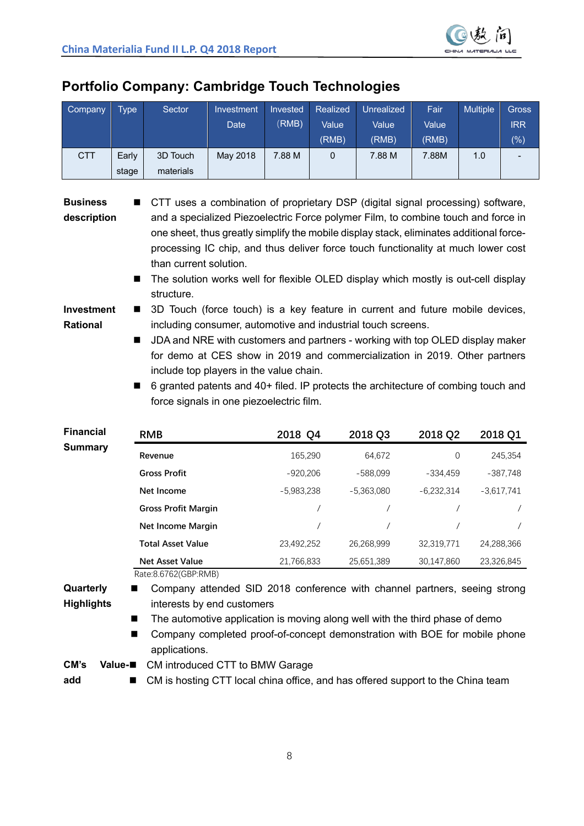

## **Portfolio Company: Cambridge Touch Technologies**

| Company                                                                | <b>Type</b>                                                                                                                                                                                                                                                                                                                                                                                                                                                                                                                                                                                                                                                                                                                                                                                                                                                                                                                                                                                         | Sector                                                                                                                                                                                                                                                                                                         | Investment<br><b>Date</b> | Invested<br>(RMB) | Realized<br>Value<br>(RMB) | Unrealized<br>Value<br>(RMB) | Fair<br>Value<br>(RMB) | <b>Multiple</b> | <b>Gross</b><br><b>IRR</b><br>(%) |
|------------------------------------------------------------------------|-----------------------------------------------------------------------------------------------------------------------------------------------------------------------------------------------------------------------------------------------------------------------------------------------------------------------------------------------------------------------------------------------------------------------------------------------------------------------------------------------------------------------------------------------------------------------------------------------------------------------------------------------------------------------------------------------------------------------------------------------------------------------------------------------------------------------------------------------------------------------------------------------------------------------------------------------------------------------------------------------------|----------------------------------------------------------------------------------------------------------------------------------------------------------------------------------------------------------------------------------------------------------------------------------------------------------------|---------------------------|-------------------|----------------------------|------------------------------|------------------------|-----------------|-----------------------------------|
| <b>CTT</b>                                                             | Early<br>stage                                                                                                                                                                                                                                                                                                                                                                                                                                                                                                                                                                                                                                                                                                                                                                                                                                                                                                                                                                                      | 3D Touch<br>materials                                                                                                                                                                                                                                                                                          | May 2018                  | 7.88 M            | 0                          | 7.88 M                       | 7.88M                  | 1.0             |                                   |
| <b>Business</b><br>description<br><b>Investment</b><br><b>Rational</b> | CTT uses a combination of proprietary DSP (digital signal processing) software,<br>and a specialized Piezoelectric Force polymer Film, to combine touch and force in<br>one sheet, thus greatly simplify the mobile display stack, eliminates additional force-<br>processing IC chip, and thus deliver force touch functionality at much lower cost<br>than current solution.<br>The solution works well for flexible OLED display which mostly is out-cell display<br>■<br>structure.<br>3D Touch (force touch) is a key feature in current and future mobile devices,<br>■<br>including consumer, automotive and industrial touch screens.<br>JDA and NRE with customers and partners - working with top OLED display maker<br>ш<br>for demo at CES show in 2019 and commercialization in 2019. Other partners<br>include top players in the value chain.<br>6 granted patents and 40+ filed. IP protects the architecture of combing touch and<br>■<br>force signals in one piezoelectric film. |                                                                                                                                                                                                                                                                                                                |                           |                   |                            |                              |                        |                 |                                   |
| <b>Financial</b>                                                       |                                                                                                                                                                                                                                                                                                                                                                                                                                                                                                                                                                                                                                                                                                                                                                                                                                                                                                                                                                                                     | <b>RMB</b>                                                                                                                                                                                                                                                                                                     |                           | 2018 Q4           |                            | 2018 Q3                      | 2018 Q2                |                 | 2018 Q1                           |
| <b>Summary</b>                                                         |                                                                                                                                                                                                                                                                                                                                                                                                                                                                                                                                                                                                                                                                                                                                                                                                                                                                                                                                                                                                     | Revenue                                                                                                                                                                                                                                                                                                        |                           | 165,290           |                            | 64,672                       | 0                      |                 | 245,354                           |
|                                                                        |                                                                                                                                                                                                                                                                                                                                                                                                                                                                                                                                                                                                                                                                                                                                                                                                                                                                                                                                                                                                     | <b>Gross Profit</b>                                                                                                                                                                                                                                                                                            |                           | $-920,206$        |                            | $-588,099$                   | -334,459               |                 | $-387,748$                        |
|                                                                        |                                                                                                                                                                                                                                                                                                                                                                                                                                                                                                                                                                                                                                                                                                                                                                                                                                                                                                                                                                                                     | Net Income                                                                                                                                                                                                                                                                                                     |                           | $-5,983,238$      |                            | $-5,363,080$                 | $-6,232,314$           |                 | $-3,617,741$                      |
|                                                                        |                                                                                                                                                                                                                                                                                                                                                                                                                                                                                                                                                                                                                                                                                                                                                                                                                                                                                                                                                                                                     | <b>Gross Profit Margin</b>                                                                                                                                                                                                                                                                                     |                           |                   | $\prime$                   | $\prime$                     |                        | T               |                                   |
|                                                                        |                                                                                                                                                                                                                                                                                                                                                                                                                                                                                                                                                                                                                                                                                                                                                                                                                                                                                                                                                                                                     | Net Income Margin                                                                                                                                                                                                                                                                                              |                           |                   |                            | $\prime$                     |                        |                 |                                   |
|                                                                        |                                                                                                                                                                                                                                                                                                                                                                                                                                                                                                                                                                                                                                                                                                                                                                                                                                                                                                                                                                                                     | <b>Total Asset Value</b>                                                                                                                                                                                                                                                                                       |                           | 23,492,252        |                            | 26,268,999                   | 32,319,771             |                 | 24,288,366                        |
|                                                                        |                                                                                                                                                                                                                                                                                                                                                                                                                                                                                                                                                                                                                                                                                                                                                                                                                                                                                                                                                                                                     | <b>Net Asset Value</b>                                                                                                                                                                                                                                                                                         |                           | 21,766,833        |                            | 25,651,389                   | 30,147,860             |                 | 23,326,845                        |
| Quarterly<br><b>Highlights</b>                                         | ■<br>■                                                                                                                                                                                                                                                                                                                                                                                                                                                                                                                                                                                                                                                                                                                                                                                                                                                                                                                                                                                              | Rate:8.6762(GBP:RMB)<br>Company attended SID 2018 conference with channel partners, seeing strong<br>interests by end customers<br>The automotive application is moving along well with the third phase of demo<br>Company completed proof-of-concept demonstration with BOE for mobile phone<br>applications. |                           |                   |                            |                              |                        |                 |                                   |

**CM's Value-**n CM introduced CTT to BMW Garage

**add**

■ CM is hosting CTT local china office, and has offered support to the China team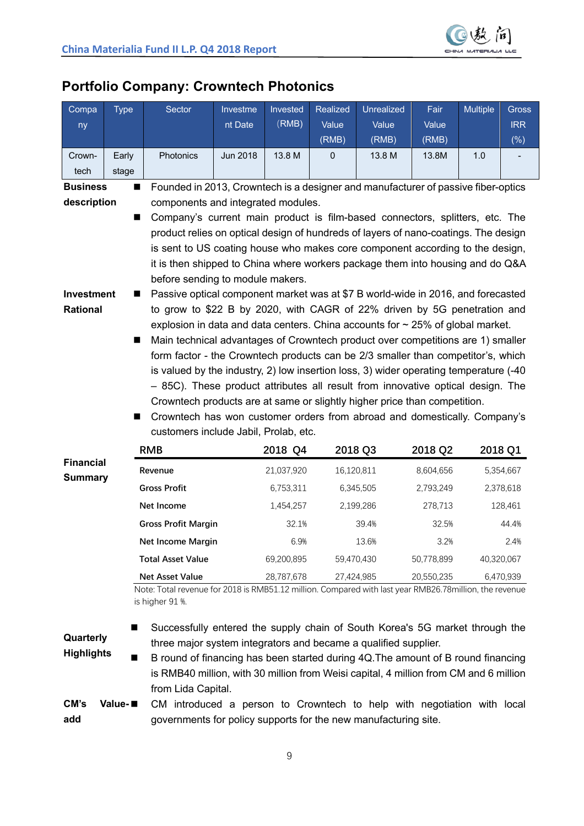

| Compa<br>ny                                                                                                                                     | <b>Type</b>      | <b>Sector</b>                                                                                                                                                                                                                                                                                                                                                                                                                                                                                                                                                                                                                                                                                                                                                                                                                                                                                                                                                                                                                                                                                                                                                                           | Investme<br>nt Date | Invested<br>(RMB) | <b>Realized</b><br>Value<br>(RMB) | Unrealized<br>Value<br>(RMB) | Fair<br>Value<br>(RMB) | <b>Multiple</b> | <b>Gross</b><br><b>IRR</b><br>$(\% )$ |
|-------------------------------------------------------------------------------------------------------------------------------------------------|------------------|-----------------------------------------------------------------------------------------------------------------------------------------------------------------------------------------------------------------------------------------------------------------------------------------------------------------------------------------------------------------------------------------------------------------------------------------------------------------------------------------------------------------------------------------------------------------------------------------------------------------------------------------------------------------------------------------------------------------------------------------------------------------------------------------------------------------------------------------------------------------------------------------------------------------------------------------------------------------------------------------------------------------------------------------------------------------------------------------------------------------------------------------------------------------------------------------|---------------------|-------------------|-----------------------------------|------------------------------|------------------------|-----------------|---------------------------------------|
| Crown-                                                                                                                                          | Early            | Photonics                                                                                                                                                                                                                                                                                                                                                                                                                                                                                                                                                                                                                                                                                                                                                                                                                                                                                                                                                                                                                                                                                                                                                                               | Jun 2018            | 13.8 M            | $\mathbf{0}$                      | 13.8 M                       | 13.8M                  | 1.0             |                                       |
| tech                                                                                                                                            | stage            |                                                                                                                                                                                                                                                                                                                                                                                                                                                                                                                                                                                                                                                                                                                                                                                                                                                                                                                                                                                                                                                                                                                                                                                         |                     |                   |                                   |                              |                        |                 |                                       |
| <b>Business</b><br>Founded in 2013, Crowntech is a designer and manufacturer of passive fiber-optics<br>■<br>components and integrated modules. |                  |                                                                                                                                                                                                                                                                                                                                                                                                                                                                                                                                                                                                                                                                                                                                                                                                                                                                                                                                                                                                                                                                                                                                                                                         |                     |                   |                                   |                              |                        |                 |                                       |
| description<br>Investment<br>Rational                                                                                                           | П<br>■<br>■<br>■ | Company's current main product is film-based connectors, splitters, etc. The<br>product relies on optical design of hundreds of layers of nano-coatings. The design<br>is sent to US coating house who makes core component according to the design,<br>it is then shipped to China where workers package them into housing and do Q&A<br>before sending to module makers.<br>Passive optical component market was at \$7 B world-wide in 2016, and forecasted<br>to grow to \$22 B by 2020, with CAGR of 22% driven by 5G penetration and<br>explosion in data and data centers. China accounts for $\sim$ 25% of global market.<br>Main technical advantages of Crowntech product over competitions are 1) smaller<br>form factor - the Crowntech products can be 2/3 smaller than competitor's, which<br>is valued by the industry, 2) low insertion loss, 3) wider operating temperature (-40<br>- 85C). These product attributes all result from innovative optical design. The<br>Crowntech products are at same or slightly higher price than competition.<br>Crowntech has won customer orders from abroad and domestically. Company's<br>customers include Jabil, Prolab, etc. |                     |                   |                                   |                              |                        |                 |                                       |
|                                                                                                                                                 |                  | <b>RMB</b>                                                                                                                                                                                                                                                                                                                                                                                                                                                                                                                                                                                                                                                                                                                                                                                                                                                                                                                                                                                                                                                                                                                                                                              |                     | 2018 Q4           |                                   | 2018 Q3                      | 2018 Q2                |                 | 2018 Q1                               |
| <b>Financial</b>                                                                                                                                |                  | Revenue                                                                                                                                                                                                                                                                                                                                                                                                                                                                                                                                                                                                                                                                                                                                                                                                                                                                                                                                                                                                                                                                                                                                                                                 |                     | 21,037,920        |                                   | 16,120,811                   | 8,604,656              |                 | 5,354,667                             |
| <b>Summary</b>                                                                                                                                  |                  | <b>Gross Profit</b>                                                                                                                                                                                                                                                                                                                                                                                                                                                                                                                                                                                                                                                                                                                                                                                                                                                                                                                                                                                                                                                                                                                                                                     |                     | 6,753,311         |                                   | 6,345,505                    | 2,793,249              |                 | 2,378,618                             |
|                                                                                                                                                 |                  | Net Income                                                                                                                                                                                                                                                                                                                                                                                                                                                                                                                                                                                                                                                                                                                                                                                                                                                                                                                                                                                                                                                                                                                                                                              |                     | 1,454,257         |                                   | 2,199,286                    | 278,713                |                 | 128,461                               |
|                                                                                                                                                 |                  | <b>Gross Profit Margin</b>                                                                                                                                                                                                                                                                                                                                                                                                                                                                                                                                                                                                                                                                                                                                                                                                                                                                                                                                                                                                                                                                                                                                                              |                     | 32.1%             |                                   | 39.4%                        | 32.5%                  |                 | 44.4%                                 |
|                                                                                                                                                 |                  | Net Income Margin                                                                                                                                                                                                                                                                                                                                                                                                                                                                                                                                                                                                                                                                                                                                                                                                                                                                                                                                                                                                                                                                                                                                                                       |                     | 6.9%              |                                   | 13.6%                        | 3.2%                   |                 | 2.4%                                  |

### **Portfolio Company: Crowntech Photonics**

**Net Asset Value** 28,787,678 27,424,985 20,550,235 6,470,939 Note: Total revenue for 2018 is RMB51.12 million. Compared with last year RMB26.78million, the revenue is higher 91 %.

**Total Asset Value** 69,200,895 59,470,430 50,778,899 40,320,067

#### **Quarterly Highlights**

Successfully entered the supply chain of South Korea's 5G market through the three major system integrators and became a qualified supplier.

■ B round of financing has been started during 4Q. The amount of B round financing is RMB40 million, with 30 million from Weisi capital, 4 million from CM and 6 million from Lida Capital.

#### **CM's Valueadd** CM introduced a person to Crowntech to help with negotiation with local governments for policy supports for the new manufacturing site.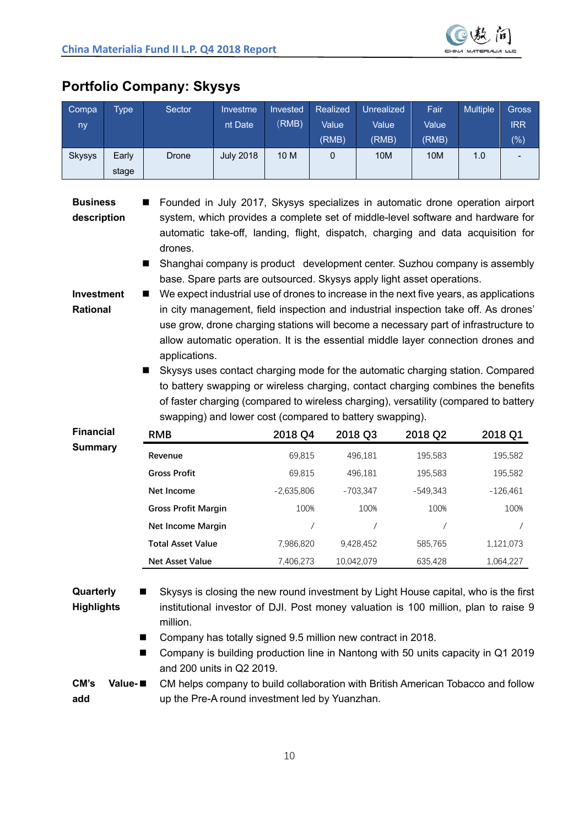

| PUILIUIIU GUIIIDAIIV. JAVSYS                                                                                                                                                                                                                                                             |       |        |                  |          |                 |                   |       |                 |            |
|------------------------------------------------------------------------------------------------------------------------------------------------------------------------------------------------------------------------------------------------------------------------------------------|-------|--------|------------------|----------|-----------------|-------------------|-------|-----------------|------------|
| Compa                                                                                                                                                                                                                                                                                    | Type  | Sector | Investme         | Invested | <b>Realized</b> | <b>Unrealized</b> | Fair  | <b>Multiple</b> | Gross      |
| ny                                                                                                                                                                                                                                                                                       |       |        | nt Date          | (RMB)    | Value           | Value             | Value |                 | <b>IRR</b> |
|                                                                                                                                                                                                                                                                                          |       |        |                  |          | (RMB)           | (RMB)             | (RMB) |                 | $(\%)$     |
| <b>Skysys</b>                                                                                                                                                                                                                                                                            | Early | Drone  | <b>July 2018</b> | 10 M     | $\mathbf 0$     | 10M               | 10M   | 1.0             |            |
|                                                                                                                                                                                                                                                                                          | stage |        |                  |          |                 |                   |       |                 |            |
| ■ Founded in July 2017, Skysys specializes in automatic drone operation airport<br><b>Business</b><br>system, which provides a complete set of middle-level software and hardware for<br>description<br>automatic take-off, landing, flight, dispatch, charging and data acquisition for |       |        |                  |          |                 |                   |       |                 |            |

## **Portfolio Company: Skysys**

drones. ■ Shanghai company is product development center. Suzhou company is assembly base. Spare parts are outsourced. Skysys apply light asset operations.

**Investment Rational**  $\blacksquare$  We expect industrial use of drones to increase in the next five years, as applications in city management, field inspection and industrial inspection take off. As drones' use grow, drone charging stations will become a necessary part of infrastructure to allow automatic operation. It is the essential middle layer connection drones and applications.

> n Skysys uses contact charging mode for the automatic charging station. Compared to battery swapping or wireless charging, contact charging combines the benefits of faster charging (compared to wireless charging), versatility (compared to battery swapping) and lower cost (compared to battery swapping).

| <b>Financial</b> | <b>RMB</b>                 | 2018 Q4      | 2018 Q3    | 2018 Q2    | 2018 Q1    |
|------------------|----------------------------|--------------|------------|------------|------------|
| <b>Summary</b>   | Revenue                    | 69,815       | 496.181    | 195,583    | 195,582    |
|                  | <b>Gross Profit</b>        | 69,815       | 496.181    | 195,583    | 195,582    |
|                  | Net Income                 | $-2,635,806$ | $-703.347$ | $-549.343$ | $-126,461$ |
|                  | <b>Gross Profit Margin</b> | 100%         | 100%       | 100%       | 100%       |
|                  | Net Income Margin          |              |            |            |            |
|                  | <b>Total Asset Value</b>   | 7,986,820    | 9.428.452  | 585,765    | 1,121,073  |
|                  | <b>Net Asset Value</b>     | 7,406,273    | 10,042,079 | 635,428    | 1,064,227  |

**Quarterly Highlights** ■ Skysys is closing the new round investment by Light House capital, who is the first institutional investor of DJI. Post money valuation is 100 million, plan to raise 9 million.

- Company has totally signed 9.5 million new contract in 2018.
- n Company is building production line in Nantong with 50 units capacity in Q1 2019 and 200 units in Q2 2019.

**CM's Valueadd** CM helps company to build collaboration with British American Tobacco and follow up the Pre-A round investment led by Yuanzhan.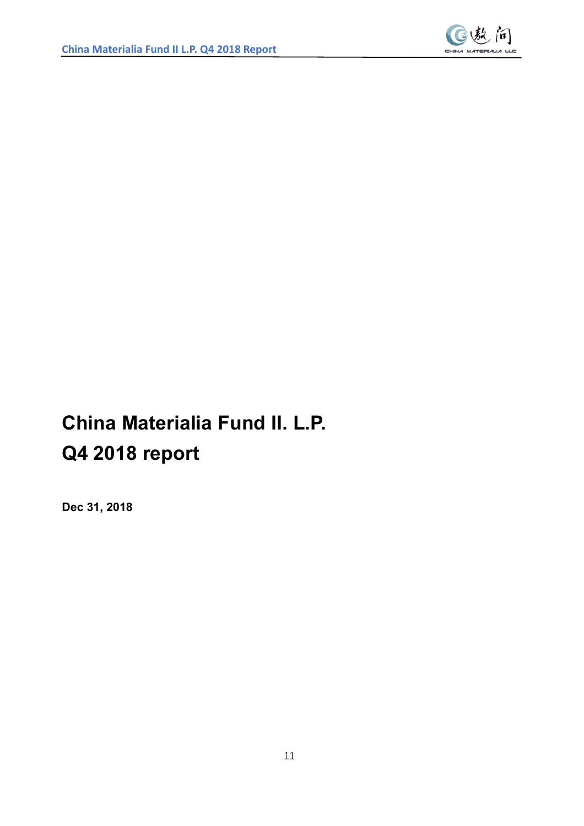

# **China Materialia Fund II. L.P. Q4 2018 report**

**Dec 31, 2018**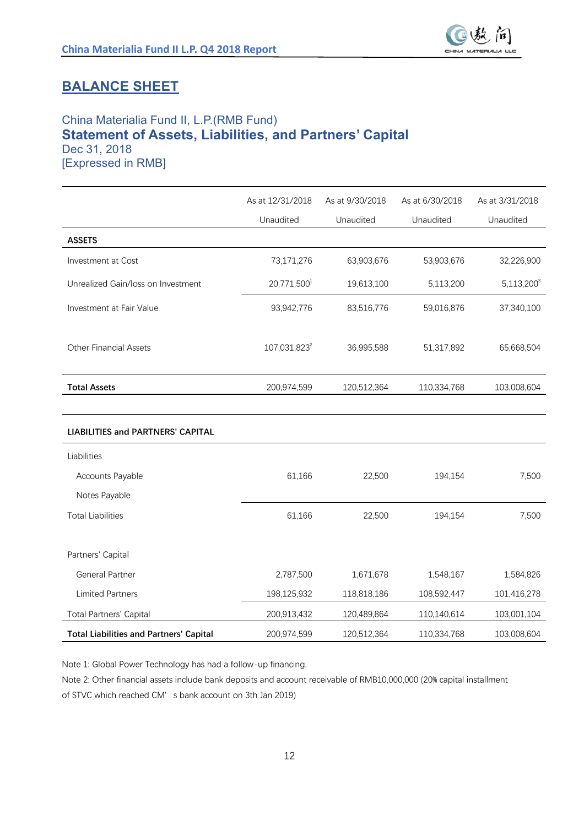

### **BALANCE SHEET**

#### China Materialia Fund II, L.P.(RMB Fund) **Statement of Assets, Liabilities, and Partners' Capital** Dec 31, 2018 [Expressed in RMB]

As at 12/31/2018 Unaudited As at 9/30/2018 Unaudited As at 6/30/2018 Unaudited As at 3/31/2018 Unaudited **ASSETS** Investment at Cost 63,903,676 63,903,676 53,903,676 53,903,676 32,226,900 Unrealized Gain/loss on Investment 20,771,500<sup>1</sup> 19,613,100 5,113,200 5,113,200<sup>3</sup> Investment at Fair Value 100 03.942.776 83.516.776 59.016.876 37.340.100 Other Financial Assets 107,031,823<sup>2</sup> 36,995,588 51,317,892 65,668,504 **Total Assets** 200,974,599 120,512,364 110,334,768 103,008,604 **LIABILITIES and PARTNERS' CAPITAL** Liabilities Accounts Payable 61,166 22,500 194,154 7,500 Notes Pavable T瀂瀇a濿 Liabi濿i瀇ie瀆 61,166 22,500 194,154 7,500 Partners' Capital General Partner 1,584,826 1,678 1,584,826 1,671,678 1,548,167 1,584,826 Limited Partners 101,416,278 198,125,932 118,818,186 108,592,447 101,416,278 Total Partners' Capital 200,913,432 120,489,864 110,140,614 103,001,104 **Total Liabilities and Partners' Capital** 200,974,599 120,512,364 110,334,768 103,008,604

Note 1: Global Power Technology has had a follow-up financing.

Note 2: Other financial assets include bank deposits and account receivable of RMB10,000,000 (20% capital installment of STVC which reached CM' s bank account on 3th Jan 2019)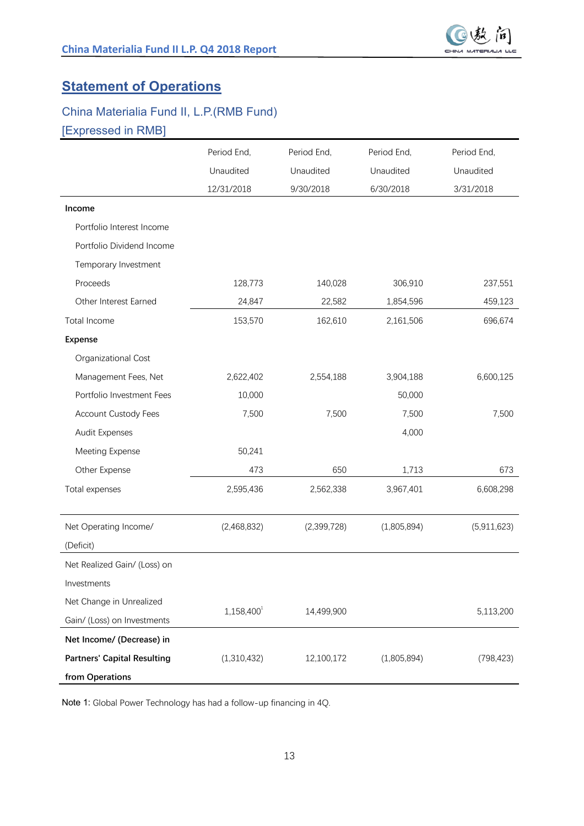## **Statement of Operations**

## China Materialia Fund II, L.P.(RMB Fund) [Expressed in RMB]

|                                    | Period End,   | Period End, | Period End, | Period End, |
|------------------------------------|---------------|-------------|-------------|-------------|
|                                    | Unaudited     | Unaudited   | Unaudited   | Unaudited   |
|                                    | 12/31/2018    | 9/30/2018   | 6/30/2018   | 3/31/2018   |
| Income                             |               |             |             |             |
| Portfolio Interest Income          |               |             |             |             |
| Portfolio Dividend Income          |               |             |             |             |
| Temporary Investment               |               |             |             |             |
| Proceeds                           | 128,773       | 140,028     | 306,910     | 237,551     |
| Other Interest Earned              | 24,847        | 22,582      | 1,854,596   | 459,123     |
| Total Income                       | 153,570       | 162,610     | 2,161,506   | 696,674     |
| <b>Expense</b>                     |               |             |             |             |
| Organizational Cost                |               |             |             |             |
| Management Fees, Net               | 2,622,402     | 2,554,188   | 3,904,188   | 6,600,125   |
| Portfolio Investment Fees          | 10,000        |             | 50,000      |             |
| <b>Account Custody Fees</b>        | 7,500         | 7,500       | 7,500       | 7,500       |
| Audit Expenses                     |               |             | 4,000       |             |
| Meeting Expense                    | 50,241        |             |             |             |
| Other Expense                      | 473           | 650         | 1,713       | 673         |
| Total expenses                     | 2,595,436     | 2,562,338   | 3,967,401   | 6,608,298   |
|                                    |               |             |             |             |
| Net Operating Income/              | (2,468,832)   | (2,399,728) | (1,805,894) | (5,911,623) |
| (Deficit)                          |               |             |             |             |
| Net Realized Gain/ (Loss) on       |               |             |             |             |
| Investments                        |               |             |             |             |
| Net Change in Unrealized           |               |             |             |             |
| Gain/ (Loss) on Investments        | $1,158,400^1$ | 14,499,900  |             | 5,113,200   |
| Net Income/ (Decrease) in          |               |             |             |             |
| <b>Partners' Capital Resulting</b> | (1,310,432)   | 12,100,172  | (1,805,894) | (798, 423)  |
| from Operations                    |               |             |             |             |

Note 1: Global Power Technology has had a follow-up financing in 4Q.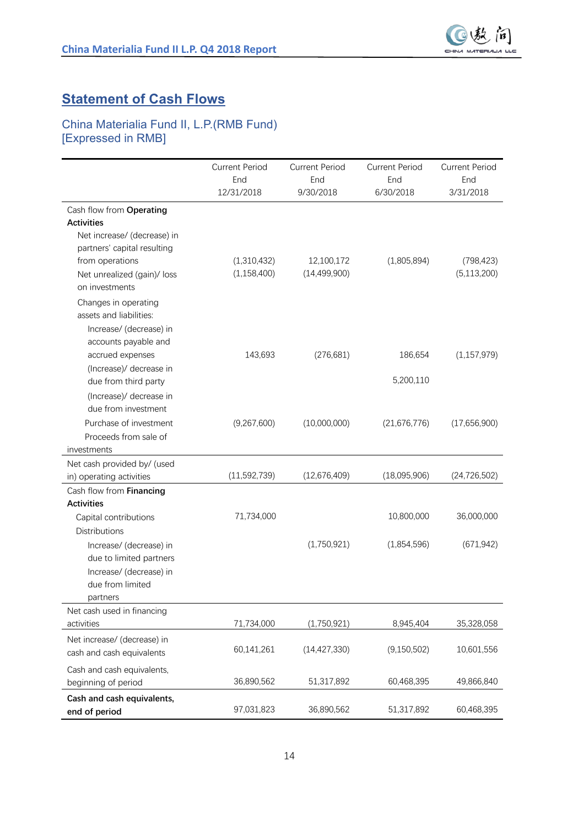

## **Statement of Cash Flows**

#### China Materialia Fund II, L.P.(RMB Fund) [Expressed in RMB]

|                                                                                                                        | <b>Current Period</b><br>End<br>12/31/2018 | <b>Current Period</b><br>End<br>9/30/2018 | <b>Current Period</b><br>End<br>6/30/2018 | <b>Current Period</b><br>End<br>3/31/2018 |
|------------------------------------------------------------------------------------------------------------------------|--------------------------------------------|-------------------------------------------|-------------------------------------------|-------------------------------------------|
| Cash flow from Operating<br><b>Activities</b><br>Net increase/ (decrease) in<br>partners' capital resulting            |                                            |                                           |                                           |                                           |
| from operations<br>Net unrealized (gain)/ loss<br>on investments<br>Changes in operating<br>assets and liabilities:    | (1,310,432)<br>(1, 158, 400)               | 12,100,172<br>(14, 499, 900)              | (1,805,894)                               | (798, 423)<br>(5, 113, 200)               |
| Increase/ (decrease) in<br>accounts payable and<br>accrued expenses<br>(Increase)/ decrease in<br>due from third party | 143,693                                    | (276, 681)                                | 186,654<br>5,200,110                      | (1, 157, 979)                             |
| (Increase)/ decrease in<br>due from investment<br>Purchase of investment<br>Proceeds from sale of<br>investments       | (9,267,600)                                | (10,000,000)                              | (21,676,776)                              | (17,656,900)                              |
| Net cash provided by/ (used<br>in) operating activities                                                                | (11,592,739)                               | (12,676,409)                              | (18,095,906)                              | (24, 726, 502)                            |
| Cash flow from Financing<br><b>Activities</b><br>Capital contributions<br><b>Distributions</b>                         | 71,734,000                                 |                                           | 10,800,000                                | 36,000,000                                |
| Increase/ (decrease) in<br>due to limited partners<br>Increase/ (decrease) in<br>due from limited<br>partners          |                                            | (1,750,921)                               | (1,854,596)                               | (671, 942)                                |
| Net cash used in financing<br>activities                                                                               | 71,734,000                                 | (1,750,921)                               | 8,945,404                                 | 35,328,058                                |
| Net increase/ (decrease) in<br>cash and cash equivalents                                                               | 60,141,261                                 | (14, 427, 330)                            | (9, 150, 502)                             | 10,601,556                                |
| Cash and cash equivalents,<br>beginning of period                                                                      | 36,890,562                                 | 51,317,892                                | 60,468,395                                | 49,866,840                                |
| Cash and cash equivalents,<br>end of period                                                                            | 97,031,823                                 | 36,890,562                                | 51,317,892                                | 60,468,395                                |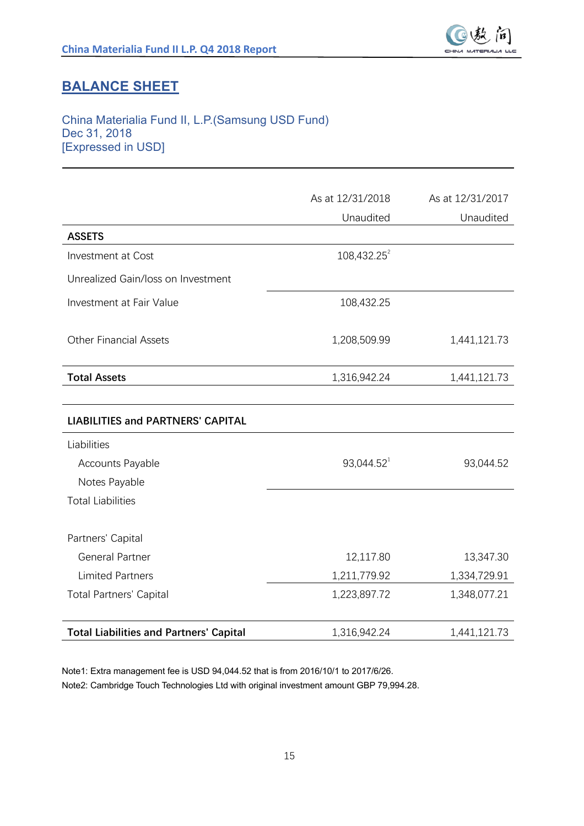

## **BALANCE SHEET**

#### China Materialia Fund II, L.P.(Samsung USD Fund) Dec 31, 2018 [Expressed in USD]

|                                                | As at 12/31/2018        | As at 12/31/2017 |
|------------------------------------------------|-------------------------|------------------|
|                                                | Unaudited               | Unaudited        |
| <b>ASSETS</b>                                  |                         |                  |
| <b>Investment at Cost</b>                      | 108,432.25 <sup>2</sup> |                  |
| Unrealized Gain/loss on Investment             |                         |                  |
| <b>Investment at Fair Value</b>                | 108,432.25              |                  |
| <b>Other Financial Assets</b>                  | 1,208,509.99            | 1,441,121.73     |
| <b>Total Assets</b>                            | 1,316,942.24            | 1,441,121.73     |
|                                                |                         |                  |
| <b>LIABILITIES and PARTNERS' CAPITAL</b>       |                         |                  |
| Liabilities                                    |                         |                  |
| Accounts Payable                               | 93,044.52 <sup>1</sup>  | 93,044.52        |
| Notes Payable                                  |                         |                  |
| <b>Total Liabilities</b>                       |                         |                  |
| Partners' Capital                              |                         |                  |
| <b>General Partner</b>                         | 12,117.80               | 13,347.30        |
| <b>Limited Partners</b>                        | 1,211,779.92            | 1,334,729.91     |
| <b>Total Partners' Capital</b>                 | 1,223,897.72            | 1,348,077.21     |
| <b>Total Liabilities and Partners' Capital</b> | 1,316,942.24            | 1,441,121.73     |

Note1: Extra management fee is USD 94,044.52 that is from 2016/10/1 to 2017/6/26. Note2: Cambridge Touch Technologies Ltd with original investment amount GBP 79,994.28.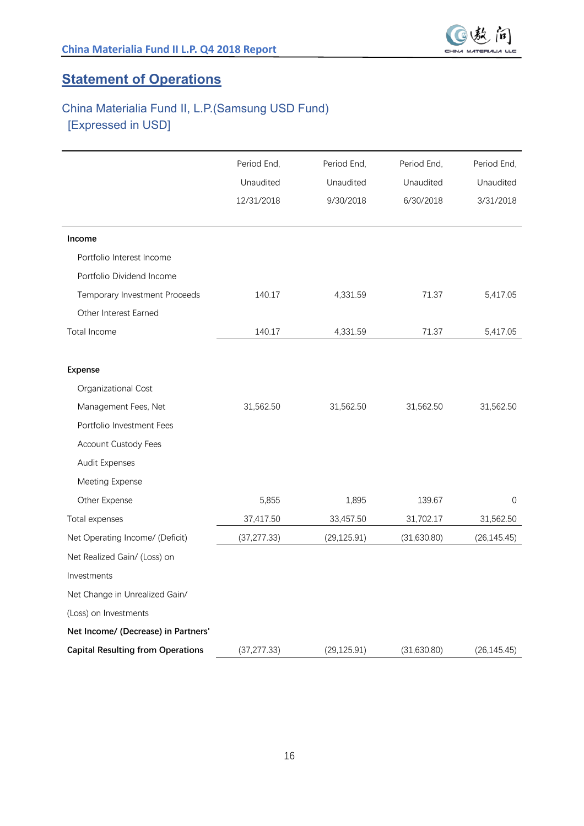

## **Statement of Operations**

## China Materialia Fund II, L.P.(Samsung USD Fund) [Expressed in USD]

|                                          | Period End,  | Period End,  | Period End, | Period End,    |
|------------------------------------------|--------------|--------------|-------------|----------------|
|                                          | Unaudited    | Unaudited    | Unaudited   | Unaudited      |
|                                          | 12/31/2018   | 9/30/2018    | 6/30/2018   | 3/31/2018      |
|                                          |              |              |             |                |
| Income                                   |              |              |             |                |
| Portfolio Interest Income                |              |              |             |                |
| Portfolio Dividend Income                |              |              |             |                |
| Temporary Investment Proceeds            | 140.17       | 4,331.59     | 71.37       | 5,417.05       |
| Other Interest Earned                    |              |              |             |                |
| Total Income                             | 140.17       | 4,331.59     | 71.37       | 5,417.05       |
|                                          |              |              |             |                |
| Expense                                  |              |              |             |                |
| Organizational Cost                      |              |              |             |                |
| Management Fees, Net                     | 31,562.50    | 31,562.50    | 31,562.50   | 31,562.50      |
| Portfolio Investment Fees                |              |              |             |                |
| Account Custody Fees                     |              |              |             |                |
| Audit Expenses                           |              |              |             |                |
| Meeting Expense                          |              |              |             |                |
| Other Expense                            | 5,855        | 1,895        | 139.67      | $\overline{0}$ |
| Total expenses                           | 37,417.50    | 33,457.50    | 31,702.17   | 31,562.50      |
| Net Operating Income/ (Deficit)          | (37, 277.33) | (29, 125.91) | (31,630.80) | (26, 145.45)   |
| Net Realized Gain/ (Loss) on             |              |              |             |                |
| Investments                              |              |              |             |                |
| Net Change in Unrealized Gain/           |              |              |             |                |
| (Loss) on Investments                    |              |              |             |                |
| Net Income/ (Decrease) in Partners'      |              |              |             |                |
| <b>Capital Resulting from Operations</b> | (37, 277.33) | (29, 125.91) | (31,630.80) | (26, 145.45)   |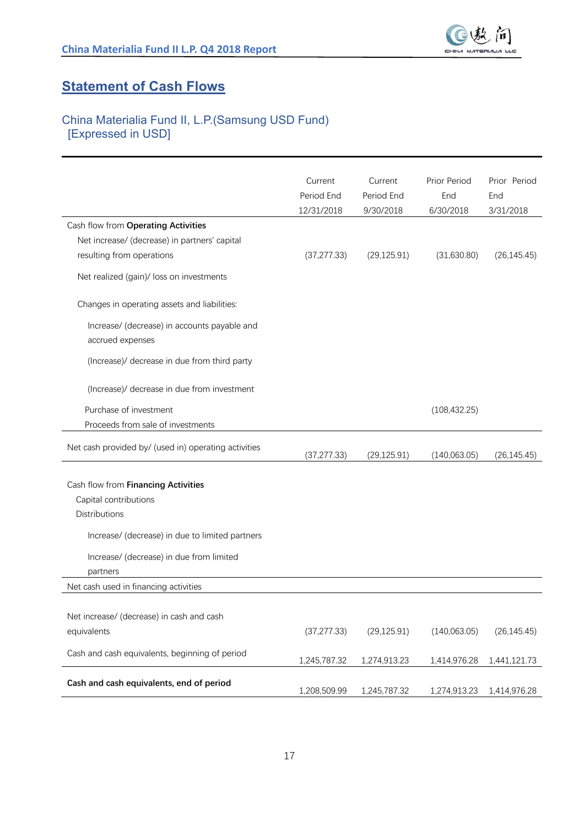

## **Statement of Cash Flows**

### China Materialia Fund II, L.P.(Samsung USD Fund) [Expressed in USD]

| Cash flow from Operating Activities                                                                                                                                                             | Current<br>Period End<br>12/31/2018 | Current<br>Period End<br>9/30/2018 | Prior Period<br>End<br>6/30/2018 | Prior Period<br>End<br>3/31/2018 |
|-------------------------------------------------------------------------------------------------------------------------------------------------------------------------------------------------|-------------------------------------|------------------------------------|----------------------------------|----------------------------------|
| Net increase/ (decrease) in partners' capital<br>resulting from operations                                                                                                                      | (37, 277.33)                        | (29, 125.91)                       | (31,630.80)                      | (26, 145.45)                     |
| Net realized (gain)/ loss on investments                                                                                                                                                        |                                     |                                    |                                  |                                  |
| Changes in operating assets and liabilities:                                                                                                                                                    |                                     |                                    |                                  |                                  |
| Increase/ (decrease) in accounts payable and<br>accrued expenses                                                                                                                                |                                     |                                    |                                  |                                  |
| (Increase)/ decrease in due from third party                                                                                                                                                    |                                     |                                    |                                  |                                  |
| (Increase)/ decrease in due from investment                                                                                                                                                     |                                     |                                    |                                  |                                  |
| Purchase of investment<br>Proceeds from sale of investments                                                                                                                                     |                                     |                                    | (108, 432.25)                    |                                  |
| Net cash provided by/ (used in) operating activities                                                                                                                                            | (37, 277.33)                        | (29, 125.91)                       | (140, 063.05)                    | (26, 145.45)                     |
| Cash flow from Financing Activities<br>Capital contributions<br><b>Distributions</b><br>Increase/ (decrease) in due to limited partners<br>Increase/ (decrease) in due from limited<br>partners |                                     |                                    |                                  |                                  |
| Net cash used in financing activities                                                                                                                                                           |                                     |                                    |                                  |                                  |
| Net increase/ (decrease) in cash and cash<br>equivalents                                                                                                                                        | (37, 277.33)                        | (29, 125.91)                       | (140,063.05)                     | (26, 145.45)                     |
| Cash and cash equivalents, beginning of period                                                                                                                                                  | 1,245,787.32                        | 1,274,913.23                       | 1,414,976.28                     | 1,441,121.73                     |
| Cash and cash equivalents, end of period                                                                                                                                                        | 1,208,509.99                        | 1,245,787.32                       | 1,274,913.23                     | 1,414,976.28                     |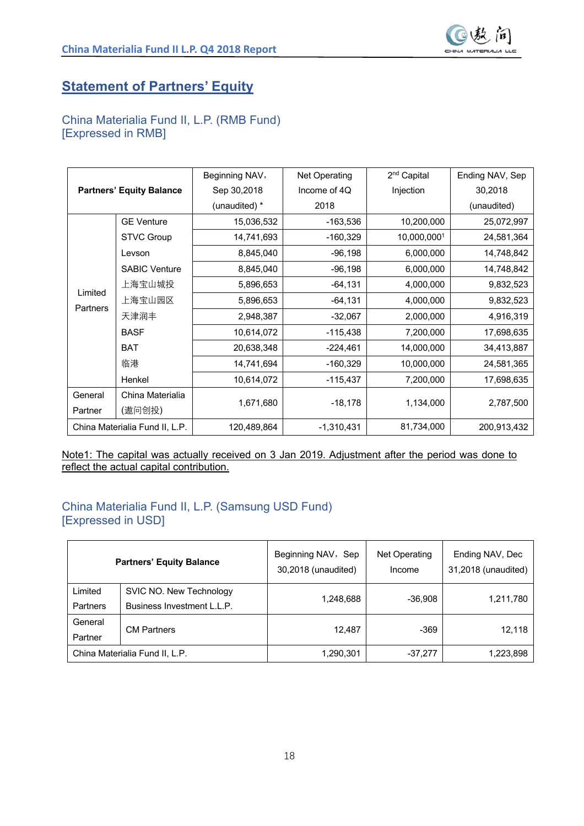

### **Statement of Partners' Equity**

#### China Materialia Fund II, L.P. (RMB Fund) [Expressed in RMB]

|                 |                                 | Beginning NAV, | Net Operating | 2 <sup>nd</sup> Capital | Ending NAV, Sep |
|-----------------|---------------------------------|----------------|---------------|-------------------------|-----------------|
|                 | <b>Partners' Equity Balance</b> | Sep 30,2018    | Income of 4Q  | Injection               | 30,2018         |
|                 |                                 | (unaudited) *  | 2018          |                         | (unaudited)     |
|                 | <b>GE Venture</b>               | 15,036,532     | $-163,536$    | 10,200,000              | 25,072,997      |
|                 | <b>STVC Group</b>               | 14,741,693     | $-160,329$    | 10,000,0001             | 24,581,364      |
|                 | Levson                          | 8,845,040      | $-96,198$     | 6,000,000               | 14,748,842      |
|                 | <b>SABIC Venture</b>            | 8,845,040      | $-96,198$     | 6,000,000               | 14,748,842      |
|                 | 上海宝山城投                          | 5,896,653      | $-64, 131$    | 4,000,000               | 9,832,523       |
| Limited         | 上海宝山园区                          | 5,896,653      | $-64, 131$    | 4,000,000               | 9,832,523       |
| <b>Partners</b> | 天津润丰                            | 2,948,387      | $-32,067$     | 2,000,000               | 4,916,319       |
|                 | <b>BASF</b>                     | 10,614,072     | -115,438      | 7,200,000               | 17,698,635      |
|                 | <b>BAT</b>                      | 20,638,348     | $-224,461$    | 14,000,000              | 34,413,887      |
|                 | 临港                              | 14,741,694     | $-160,329$    | 10,000,000              | 24,581,365      |
|                 | Henkel                          | 10,614,072     | $-115,437$    | 7,200,000               | 17,698,635      |
| General         | China Materialia                |                |               |                         |                 |
| Partner         | (遨问创投)                          | 1,671,680      | $-18,178$     | 1,134,000               | 2,787,500       |
|                 | China Materialia Fund II, L.P.  | 120,489,864    | $-1,310,431$  | 81,734,000              | 200,913,432     |

Note1: The capital was actually received on 3 Jan 2019. Adjustment after the period was done to reflect the actual capital contribution.

#### China Materialia Fund II, L.P. (Samsung USD Fund) [Expressed in USD]

|                     | <b>Partners' Equity Balance</b>                       | Beginning NAV, Sep<br>30,2018 (unaudited) | Net Operating<br>Income | Ending NAV, Dec<br>31,2018 (unaudited) |
|---------------------|-------------------------------------------------------|-------------------------------------------|-------------------------|----------------------------------------|
| Limited<br>Partners | SVIC NO. New Technology<br>Business Investment L.L.P. | 1,248,688                                 | $-36,908$               | 1,211,780                              |
| General<br>Partner  | <b>CM Partners</b>                                    | 12.487                                    | $-369$                  | 12,118                                 |
|                     | China Materialia Fund II, L.P.                        | 1,290,301                                 | $-37.277$               | 1,223,898                              |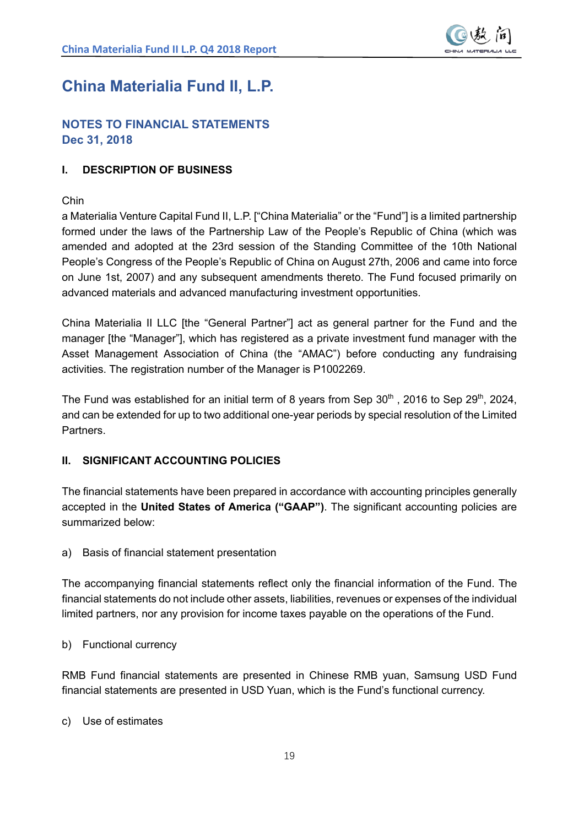

## **China Materialia Fund II, L.P.**

#### **NOTES TO FINANCIAL STATEMENTS Dec 31, 2018**

#### **I. DESCRIPTION OF BUSINESS**

#### Chin

a Materialia Venture Capital Fund II, L.P. ["China Materialia" or the "Fund"] is a limited partnership formed under the laws of the Partnership Law of the People's Republic of China (which was amended and adopted at the 23rd session of the Standing Committee of the 10th National People's Congress of the People's Republic of China on August 27th, 2006 and came into force on June 1st, 2007) and any subsequent amendments thereto. The Fund focused primarily on advanced materials and advanced manufacturing investment opportunities.

China Materialia II LLC [the "General Partner"] act as general partner for the Fund and the manager [the "Manager"], which has registered as a private investment fund manager with the Asset Management Association of China (the "AMAC") before conducting any fundraising activities. The registration number of the Manager is P1002269.

The Fund was established for an initial term of 8 years from Sep  $30<sup>th</sup>$ , 2016 to Sep 29<sup>th</sup>, 2024, and can be extended for up to two additional one-year periods by special resolution of the Limited **Partners** 

#### **II. SIGNIFICANT ACCOUNTING POLICIES**

The financial statements have been prepared in accordance with accounting principles generally accepted in the **United States of America ("GAAP")**. The significant accounting policies are summarized below:

a) Basis of financial statement presentation

The accompanying financial statements reflect only the financial information of the Fund. The financial statements do not include other assets, liabilities, revenues or expenses of the individual limited partners, nor any provision for income taxes payable on the operations of the Fund.

b) Functional currency

RMB Fund financial statements are presented in Chinese RMB yuan, Samsung USD Fund financial statements are presented in USD Yuan, which is the Fund's functional currency.

c) Use of estimates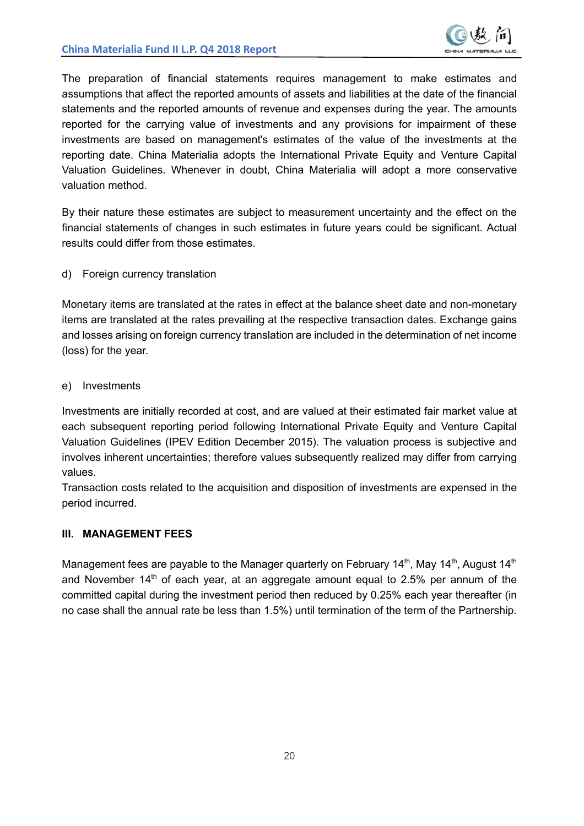

The preparation of financial statements requires management to make estimates and assumptions that affect the reported amounts of assets and liabilities at the date of the financial statements and the reported amounts of revenue and expenses during the year. The amounts reported for the carrying value of investments and any provisions for impairment of these investments are based on management's estimates of the value of the investments at the reporting date. China Materialia adopts the International Private Equity and Venture Capital Valuation Guidelines. Whenever in doubt, China Materialia will adopt a more conservative valuation method.

By their nature these estimates are subject to measurement uncertainty and the effect on the financial statements of changes in such estimates in future years could be significant. Actual results could differ from those estimates.

d) Foreign currency translation

Monetary items are translated at the rates in effect at the balance sheet date and non-monetary items are translated at the rates prevailing at the respective transaction dates. Exchange gains and losses arising on foreign currency translation are included in the determination of net income (loss) for the year.

e) Investments

Investments are initially recorded at cost, and are valued at their estimated fair market value at each subsequent reporting period following International Private Equity and Venture Capital Valuation Guidelines (IPEV Edition December 2015). The valuation process is subjective and involves inherent uncertainties; therefore values subsequently realized may differ from carrying values.

Transaction costs related to the acquisition and disposition of investments are expensed in the period incurred.

#### **III. MANAGEMENT FEES**

Management fees are payable to the Manager quarterly on February 14<sup>th</sup>, May 14<sup>th</sup>, August 14<sup>th</sup> and November  $14<sup>th</sup>$  of each year, at an aggregate amount equal to 2.5% per annum of the committed capital during the investment period then reduced by 0.25% each year thereafter (in no case shall the annual rate be less than 1.5%) until termination of the term of the Partnership.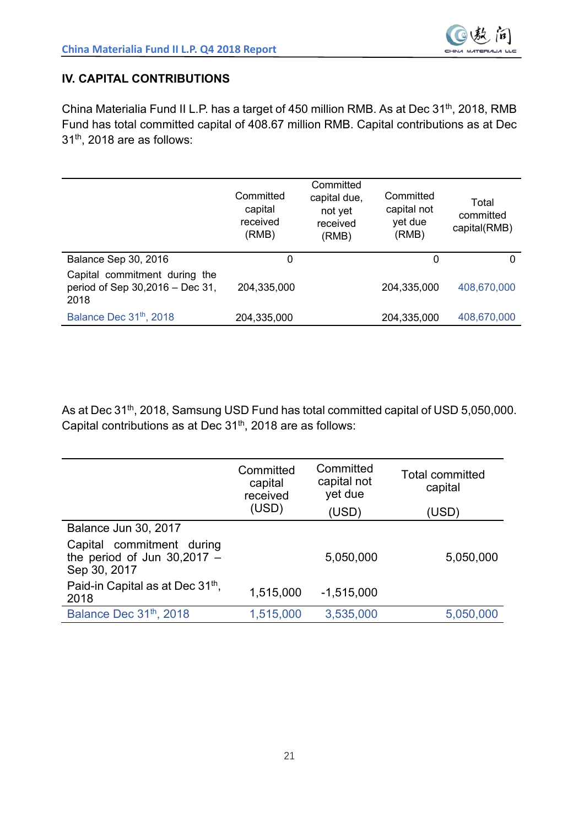

#### **IV. CAPITAL CONTRIBUTIONS**

China Materialia Fund II L.P. has a target of 450 million RMB. As at Dec 31<sup>th</sup>, 2018, RMB Fund has total committed capital of 408.67 million RMB. Capital contributions as at Dec 31th, 2018 are as follows:

|                                                                          | Committed<br>capital<br>received<br>(RMB) | Committed<br>capital due,<br>not yet<br>received<br>(RMB) | Committed<br>capital not<br>yet due<br>(RMB) | Total<br>committed<br>capital(RMB) |
|--------------------------------------------------------------------------|-------------------------------------------|-----------------------------------------------------------|----------------------------------------------|------------------------------------|
| Balance Sep 30, 2016                                                     | 0                                         |                                                           | 0                                            | 0                                  |
| Capital commitment during the<br>period of Sep 30,2016 – Dec 31,<br>2018 | 204,335,000                               |                                                           | 204,335,000                                  | 408,670,000                        |
| Balance Dec 31 <sup>th</sup> , 2018                                      | 204,335,000                               |                                                           | 204,335,000                                  | 408,670,000                        |

As at Dec 31<sup>th</sup>, 2018, Samsung USD Fund has total committed capital of USD 5,050,000. Capital contributions as at Dec  $31<sup>th</sup>$ , 2018 are as follows:

|                                                                            | Committed<br>capital<br>received | Committed<br>capital not<br>yet due | <b>Total committed</b><br>capital |
|----------------------------------------------------------------------------|----------------------------------|-------------------------------------|-----------------------------------|
|                                                                            | (USD)                            | (USD)                               | (USD)                             |
| Balance Jun 30, 2017                                                       |                                  |                                     |                                   |
| Capital commitment during<br>the period of Jun $30,2017 -$<br>Sep 30, 2017 |                                  | 5,050,000                           | 5,050,000                         |
| Paid-in Capital as at Dec 31 <sup>th</sup> ,<br>2018                       | 1,515,000                        | $-1,515,000$                        |                                   |
| Balance Dec 31th, 2018                                                     | 1,515,000                        | 3,535,000                           | 5,050,000                         |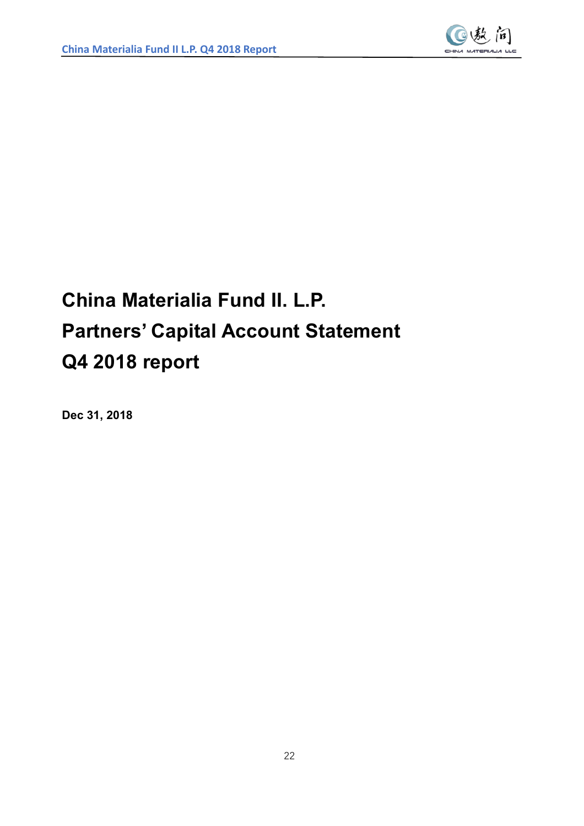

# **China Materialia Fund II. L.P. Partners' Capital Account Statement Q4 2018 report**

**Dec 31, 2018**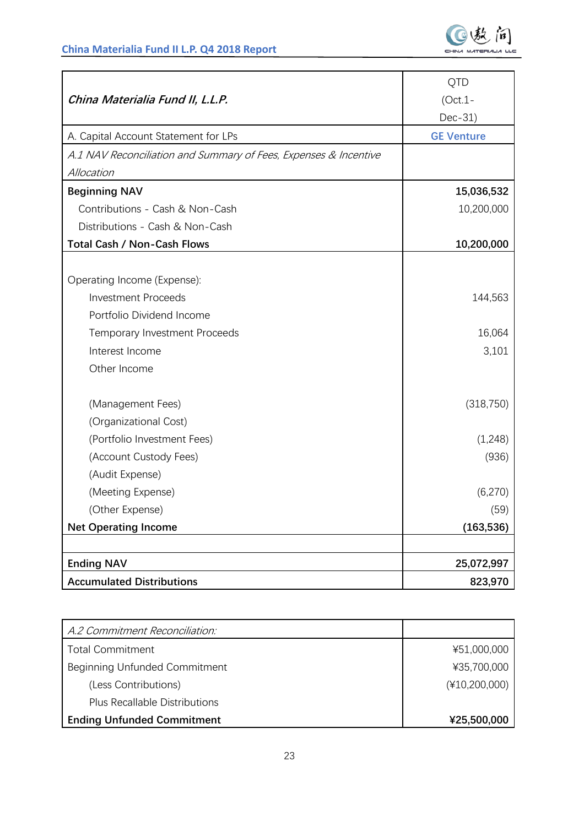

|                                                                  | QTD               |
|------------------------------------------------------------------|-------------------|
| China Materialia Fund II, L.L.P.                                 | $(Oct.1 -$        |
|                                                                  | Dec-31)           |
| A. Capital Account Statement for LPs                             | <b>GE Venture</b> |
| A.1 NAV Reconciliation and Summary of Fees, Expenses & Incentive |                   |
| Allocation                                                       |                   |
| <b>Beginning NAV</b>                                             | 15,036,532        |
| Contributions - Cash & Non-Cash                                  | 10,200,000        |
| Distributions - Cash & Non-Cash                                  |                   |
| <b>Total Cash / Non-Cash Flows</b>                               | 10,200,000        |
|                                                                  |                   |
| Operating Income (Expense):                                      |                   |
| <b>Investment Proceeds</b>                                       | 144,563           |
| Portfolio Dividend Income                                        |                   |
| Temporary Investment Proceeds                                    | 16,064            |
| Interest Income                                                  | 3,101             |
| Other Income                                                     |                   |
| (Management Fees)                                                | (318, 750)        |
| (Organizational Cost)                                            |                   |
| (Portfolio Investment Fees)                                      | (1,248)           |
| (Account Custody Fees)                                           | (936)             |
| (Audit Expense)                                                  |                   |
| (Meeting Expense)                                                | (6,270)           |
| (Other Expense)                                                  | (59)              |
| <b>Net Operating Income</b>                                      | (163, 536)        |
|                                                                  |                   |
| <b>Ending NAV</b>                                                | 25,072,997        |
| <b>Accumulated Distributions</b>                                 | 823,970           |

| A.2 Commitment Reconciliation:       |                 |
|--------------------------------------|-----------------|
| <b>Total Commitment</b>              | ¥51,000,000     |
| Beginning Unfunded Commitment        | ¥35,700,000     |
| (Less Contributions)                 | $(*10,200,000)$ |
| <b>Plus Recallable Distributions</b> |                 |
| <b>Ending Unfunded Commitment</b>    | ¥25,500,000     |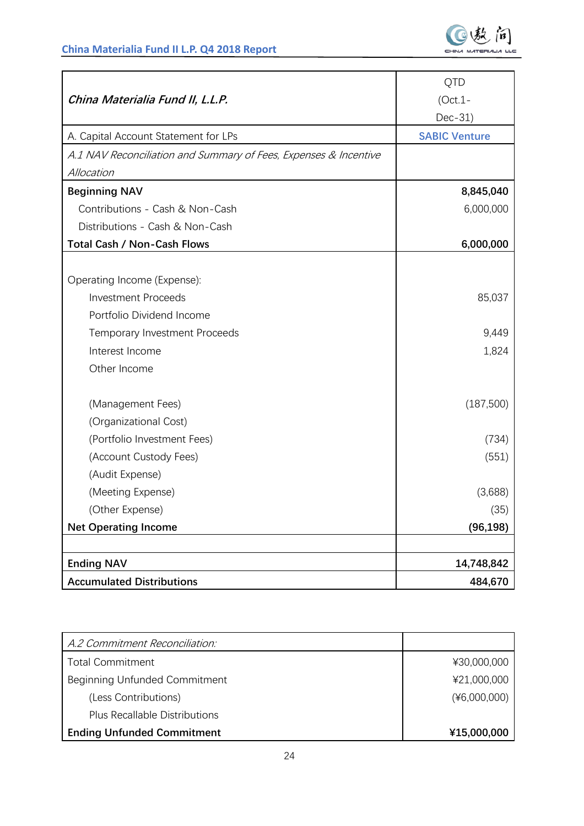|                                                                  | QTD                  |
|------------------------------------------------------------------|----------------------|
| China Materialia Fund II, L.L.P.                                 | $(Oct.1 -$           |
|                                                                  | Dec-31)              |
| A. Capital Account Statement for LPs                             | <b>SABIC Venture</b> |
| A.1 NAV Reconciliation and Summary of Fees, Expenses & Incentive |                      |
| Allocation                                                       |                      |
| <b>Beginning NAV</b>                                             | 8,845,040            |
| Contributions - Cash & Non-Cash                                  | 6,000,000            |
| Distributions - Cash & Non-Cash                                  |                      |
| <b>Total Cash / Non-Cash Flows</b>                               | 6,000,000            |
|                                                                  |                      |
| Operating Income (Expense):                                      |                      |
| <b>Investment Proceeds</b>                                       | 85,037               |
| Portfolio Dividend Income                                        |                      |
| <b>Temporary Investment Proceeds</b>                             | 9,449                |
| Interest Income                                                  | 1,824                |
| Other Income                                                     |                      |
|                                                                  |                      |
| (Management Fees)                                                | (187,500)            |
| (Organizational Cost)                                            |                      |
| (Portfolio Investment Fees)                                      | (734)                |
| (Account Custody Fees)                                           | (551)                |
| (Audit Expense)                                                  |                      |
| (Meeting Expense)                                                | (3,688)              |
| (Other Expense)                                                  | (35)                 |
| <b>Net Operating Income</b>                                      | (96, 198)            |
|                                                                  |                      |
| <b>Ending NAV</b>                                                | 14,748,842           |
| <b>Accumulated Distributions</b>                                 | 484,670              |

| A.2 Commitment Reconciliation:       |                |
|--------------------------------------|----------------|
| <b>Total Commitment</b>              | ¥30,000,000    |
| Beginning Unfunded Commitment        | ¥21,000,000    |
| (Less Contributions)                 | $(*6,000,000)$ |
| <b>Plus Recallable Distributions</b> |                |
| <b>Ending Unfunded Commitment</b>    | ¥15,000,000    |
|                                      |                |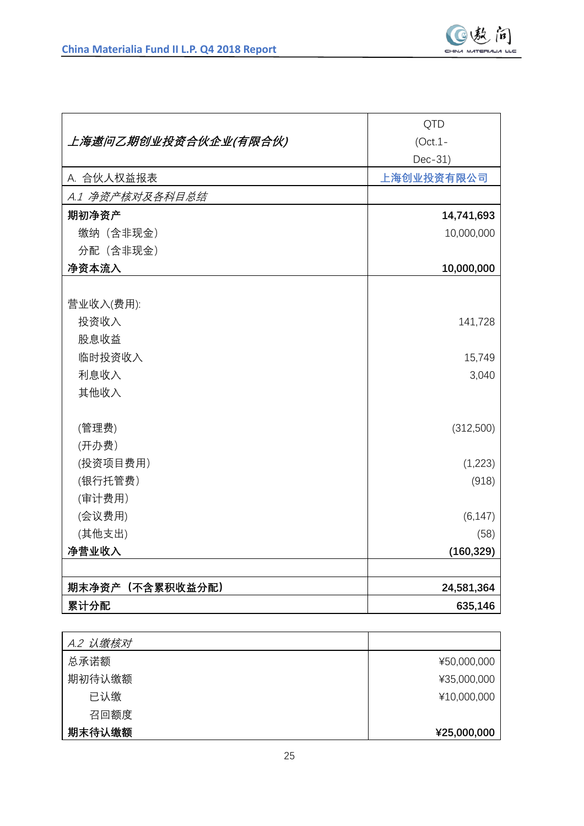

|                      | <b>QTD</b> |
|----------------------|------------|
| 上海遨问乙期创业投资合伙企业(有限合伙) | $(Oct.1 -$ |
|                      | Dec-31)    |
| A. 合伙人权益报表           | 上海创业投资有限公司 |
| A.1 净资产核对及各科目总结      |            |
| 期初净资产                | 14,741,693 |
| 缴纳 (含非现金)            | 10,000,000 |
| 分配 (含非现金)            |            |
| 净资本流入                | 10,000,000 |
|                      |            |
| 营业收入(费用):            |            |
| 投资收入                 | 141,728    |
| 股息收益                 |            |
| 临时投资收入               | 15,749     |
| 利息收入                 | 3,040      |
| 其他收入                 |            |
|                      |            |
| (管理费)                | (312,500)  |
| (开办费)                |            |
| (投资项目费用)             | (1,223)    |
| (银行托管费)              | (918)      |
| (审计费用)               |            |
| (会议费用)               | (6, 147)   |
| (其他支出)               | (58)       |
| 净营业收入                | (160, 329) |
|                      |            |
| 期末净资产(不含累积收益分配)      | 24,581,364 |
| 累计分配                 | 635,146    |

| A.2 认缴核对 |             |
|----------|-------------|
| 总承诺额     | ¥50,000,000 |
| 期初待认缴额   | ¥35,000,000 |
| 已认缴      | ¥10,000,000 |
| 召回额度     |             |
| 期末待认缴额   | ¥25,000,000 |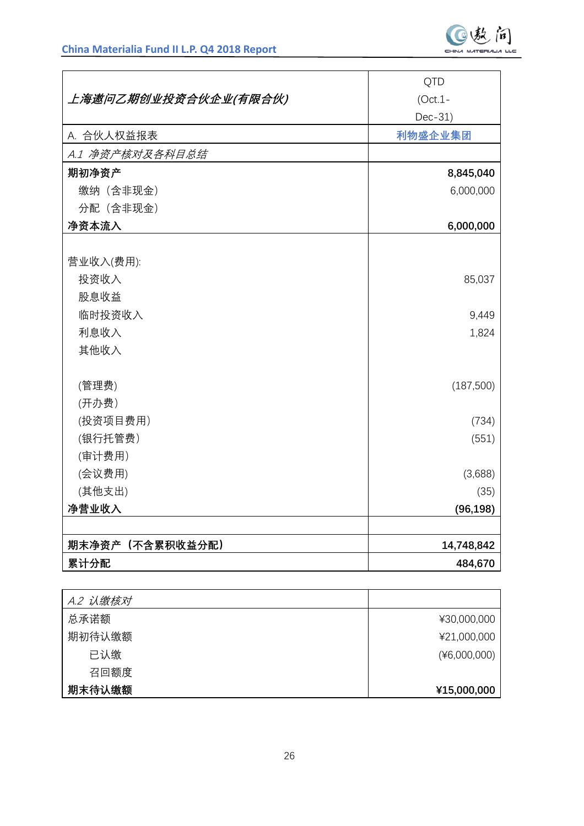|                      | QTD        |
|----------------------|------------|
| 上海遨问乙期创业投资合伙企业(有限合伙) | $(Oct.1 -$ |
|                      | Dec-31)    |
| A. 合伙人权益报表           | 利物盛企业集团    |
| A.1 净资产核对及各科目总结      |            |
| 期初净资产                | 8,845,040  |
| 缴纳 (含非现金)            | 6,000,000  |
| 分配 (含非现金)            |            |
| 净资本流入                | 6,000,000  |
|                      |            |
| 营业收入(费用):            |            |
| 投资收入                 | 85,037     |
| 股息收益                 |            |
| 临时投资收入               | 9,449      |
| 利息收入                 | 1,824      |
| 其他收入                 |            |
|                      |            |
| (管理费)                | (187,500)  |
| (开办费)                |            |
| (投资项目费用)             | (734)      |
| (银行托管费)              | (551)      |
| (审计费用)               |            |
| (会议费用)               | (3,688)    |
| (其他支出)               | (35)       |
| 净营业收入                | (96, 198)  |
|                      |            |
| 期末净资产 (不含累积收益分配)     | 14,748,842 |
| 累计分配                 | 484,670    |

| A.2 认缴核对 |              |
|----------|--------------|
| 总承诺额     | ¥30,000,000  |
| 期初待认缴额   | ¥21,000,000  |
| 已认缴      | (46,000,000) |
| 召回额度     |              |
| 期末待认缴额   | ¥15,000,000  |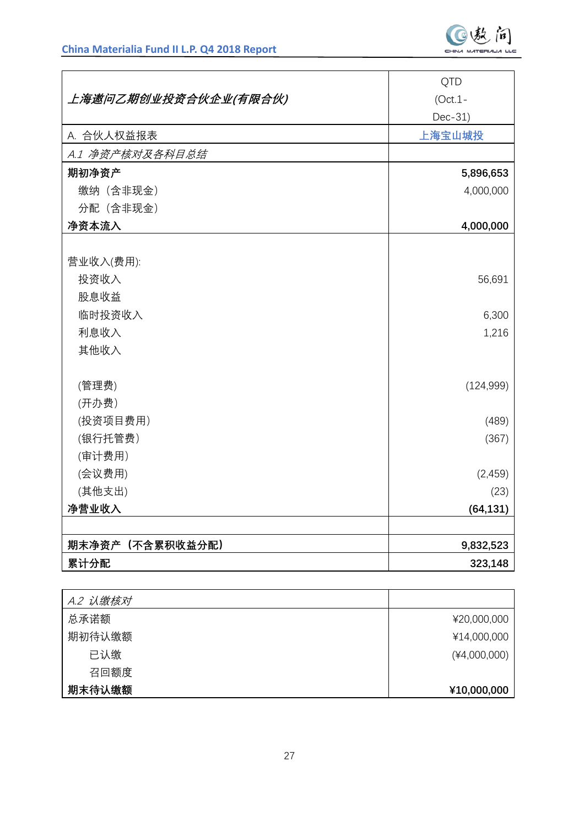|                      | <b>QTD</b> |
|----------------------|------------|
| 上海遨问乙期创业投资合伙企业(有限合伙) | $(Oct.1 -$ |
|                      | Dec-31)    |
| A. 合伙人权益报表           | 上海宝山城投     |
| A.1 净资产核对及各科目总结      |            |
| 期初净资产                | 5,896,653  |
| 缴纳 (含非现金)            | 4,000,000  |
| 分配 (含非现金)            |            |
| 净资本流入                | 4,000,000  |
|                      |            |
| 营业收入(费用):            |            |
| 投资收入                 | 56,691     |
| 股息收益                 |            |
| 临时投资收入               | 6,300      |
| 利息收入                 | 1,216      |
| 其他收入                 |            |
|                      |            |
| (管理费)                | (124, 999) |
| (开办费)                |            |
| (投资项目费用)             | (489)      |
| (银行托管费)              | (367)      |
| (审计费用)               |            |
| (会议费用)               | (2,459)    |
| (其他支出)               | (23)       |
| 净营业收入                | (64, 131)  |
|                      |            |
| 期末净资产 (不含累积收益分配)     | 9,832,523  |
| 累计分配                 | 323,148    |

| A.2 认缴核对 |                |
|----------|----------------|
| 总承诺额     | ¥20,000,000    |
| 期初待认缴额   | ¥14,000,000    |
| 已认缴      | $(*4,000,000)$ |
| 召回额度     |                |
| 期末待认缴额   | ¥10,000,000    |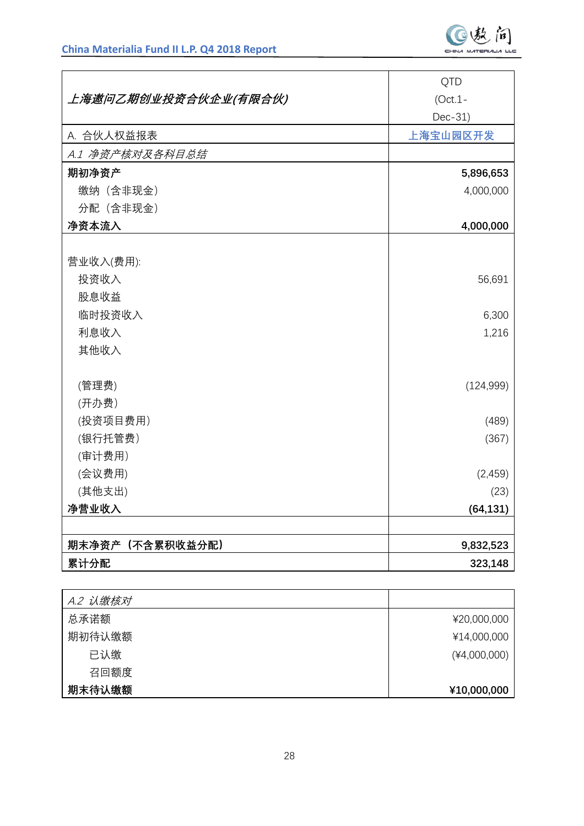|                      | QTD        |
|----------------------|------------|
| 上海遨问乙期创业投资合伙企业(有限合伙) | $(Oct.1 -$ |
|                      | Dec-31)    |
| A. 合伙人权益报表           | 上海宝山园区开发   |
| A.1 净资产核对及各科目总结      |            |
| 期初净资产                | 5,896,653  |
| 缴纳 (含非现金)            | 4,000,000  |
| 分配 (含非现金)            |            |
| 净资本流入                | 4,000,000  |
|                      |            |
| 营业收入(费用):            |            |
| 投资收入                 | 56,691     |
| 股息收益                 |            |
| 临时投资收入               | 6,300      |
| 利息收入                 | 1,216      |
| 其他收入                 |            |
|                      |            |
| (管理费)                | (124, 999) |
| (开办费)                |            |
| (投资项目费用)             | (489)      |
| (银行托管费)              | (367)      |
| (审计费用)               |            |
| (会议费用)               | (2,459)    |
| (其他支出)               | (23)       |
| 净营业收入                | (64, 131)  |
|                      |            |
| 期末净资产(不含累积收益分配)      | 9,832,523  |
| 累计分配                 | 323,148    |

| A.2 认缴核对 |                |
|----------|----------------|
| 总承诺额     | ¥20,000,000    |
| 期初待认缴额   | ¥14,000,000    |
| 已认缴      | $(*4,000,000)$ |
| 召回额度     |                |
| 期末待认缴额   | ¥10,000,000    |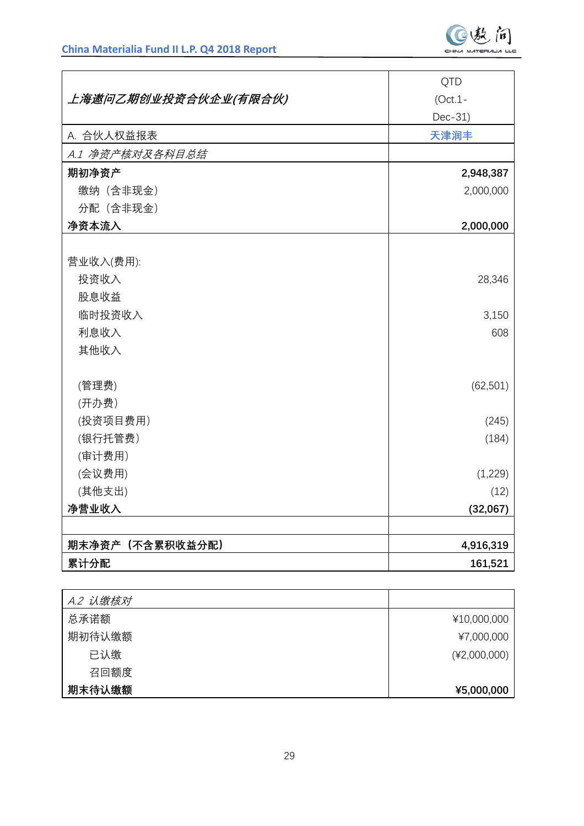|                      | QTD        |
|----------------------|------------|
| 上海遨问乙期创业投资合伙企业(有限合伙) | $(Oct.1 -$ |
|                      | Dec-31)    |
| A. 合伙人权益报表           | 天津润丰       |
| A.1 净资产核对及各科目总结      |            |
| 期初净资产                | 2,948,387  |
| 缴纳 (含非现金)            | 2,000,000  |
| 分配 (含非现金)            |            |
| 净资本流入                | 2,000,000  |
|                      |            |
| 营业收入(费用):            |            |
| 投资收入                 | 28,346     |
| 股息收益                 |            |
| 临时投资收入               | 3,150      |
| 利息收入                 | 608        |
| 其他收入                 |            |
|                      |            |
| (管理费)                | (62, 501)  |
| (开办费)                |            |
| (投资项目费用)             | (245)      |
| (银行托管费)              | (184)      |
| (审计费用)               |            |
| (会议费用)               | (1,229)    |
| (其他支出)               | (12)       |
| 净营业收入                | (32,067)   |
|                      |            |
| 期末净资产(不含累积收益分配)      | 4,916,319  |
| 累计分配                 | 161,521    |

| A.2 认缴核对 |                |
|----------|----------------|
| 总承诺额     | ¥10,000,000    |
| 期初待认缴额   | ¥7,000,000     |
| 已认缴      | $(*2,000,000)$ |
| 召回额度     |                |
| 期末待认缴额   | ¥5,000,000     |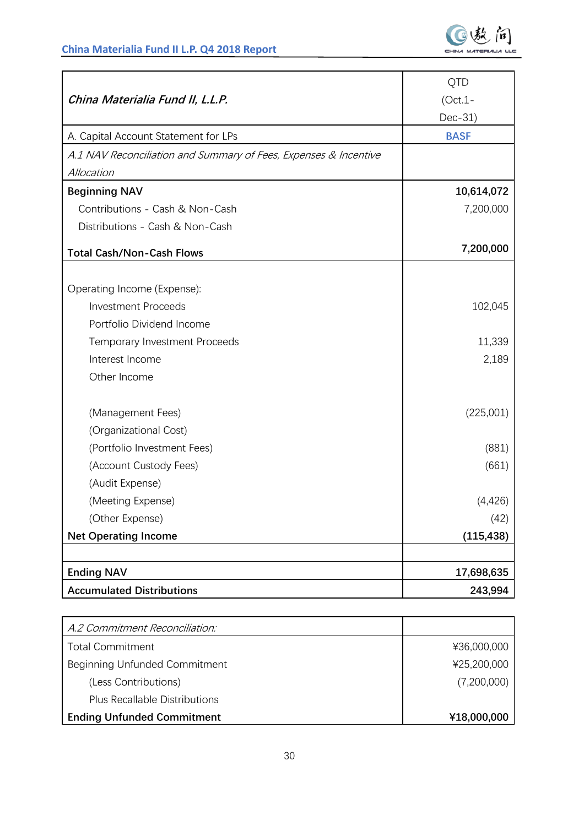

|                                                                  | QTD         |
|------------------------------------------------------------------|-------------|
| China Materialia Fund II, L.L.P.                                 | $(Oct.1 -$  |
|                                                                  | Dec-31)     |
| A. Capital Account Statement for LPs                             | <b>BASF</b> |
| A.1 NAV Reconciliation and Summary of Fees, Expenses & Incentive |             |
| Allocation                                                       |             |
| <b>Beginning NAV</b>                                             | 10,614,072  |
| Contributions - Cash & Non-Cash                                  | 7,200,000   |
| Distributions - Cash & Non-Cash                                  |             |
| <b>Total Cash/Non-Cash Flows</b>                                 | 7,200,000   |
|                                                                  |             |
| Operating Income (Expense):                                      |             |
| <b>Investment Proceeds</b>                                       | 102,045     |
| Portfolio Dividend Income                                        |             |
| Temporary Investment Proceeds                                    | 11,339      |
| Interest Income                                                  | 2,189       |
| Other Income                                                     |             |
| (Management Fees)                                                | (225,001)   |
| (Organizational Cost)                                            |             |
| (Portfolio Investment Fees)                                      | (881)       |
| (Account Custody Fees)                                           | (661)       |
| (Audit Expense)                                                  |             |
| (Meeting Expense)                                                | (4,426)     |
| (Other Expense)                                                  | (42)        |
| <b>Net Operating Income</b>                                      | (115, 438)  |
|                                                                  |             |
| <b>Ending NAV</b>                                                | 17,698,635  |
| <b>Accumulated Distributions</b>                                 | 243,994     |

| A.2 Commitment Reconciliation:       |             |
|--------------------------------------|-------------|
| <b>Total Commitment</b>              | ¥36,000,000 |
| Beginning Unfunded Commitment        | ¥25,200,000 |
| (Less Contributions)                 | (7,200,000) |
| <b>Plus Recallable Distributions</b> |             |
| <b>Ending Unfunded Commitment</b>    | ¥18,000,000 |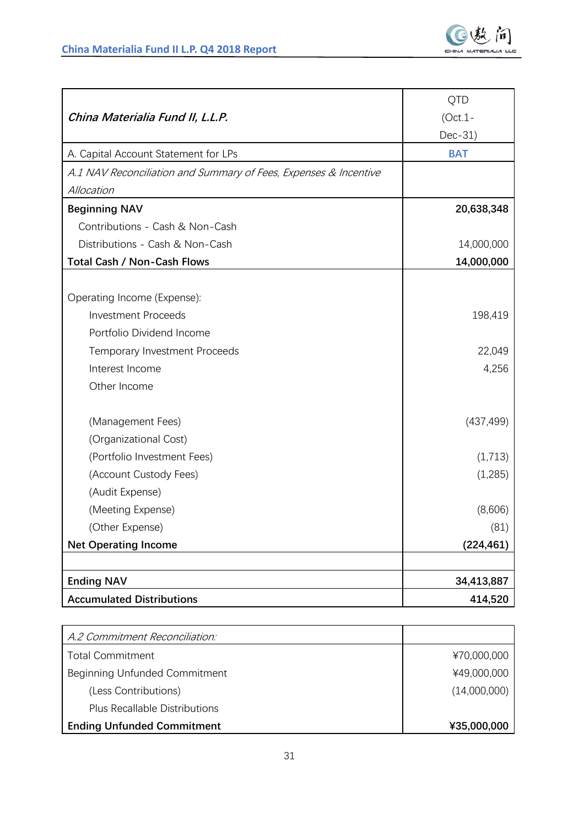

|                                                                  | QTD        |
|------------------------------------------------------------------|------------|
| China Materialia Fund II, L.L.P.                                 | $(Oct.1 -$ |
|                                                                  | Dec-31)    |
| A. Capital Account Statement for LPs                             | <b>BAT</b> |
| A.1 NAV Reconciliation and Summary of Fees, Expenses & Incentive |            |
| Allocation                                                       |            |
| <b>Beginning NAV</b>                                             | 20,638,348 |
| Contributions - Cash & Non-Cash                                  |            |
| Distributions - Cash & Non-Cash                                  | 14,000,000 |
| <b>Total Cash / Non-Cash Flows</b>                               | 14,000,000 |
|                                                                  |            |
| Operating Income (Expense):                                      |            |
| <b>Investment Proceeds</b>                                       | 198,419    |
| Portfolio Dividend Income                                        |            |
| Temporary Investment Proceeds                                    | 22,049     |
| Interest Income                                                  | 4,256      |
| Other Income                                                     |            |
| (Management Fees)                                                | (437, 499) |
| (Organizational Cost)                                            |            |
| (Portfolio Investment Fees)                                      | (1,713)    |
| (Account Custody Fees)                                           | (1,285)    |
| (Audit Expense)                                                  |            |
| (Meeting Expense)                                                | (8,606)    |
| (Other Expense)                                                  | (81)       |
| <b>Net Operating Income</b>                                      | (224, 461) |
|                                                                  |            |
| <b>Ending NAV</b>                                                | 34,413,887 |
| <b>Accumulated Distributions</b>                                 | 414,520    |

| A.2 Commitment Reconciliation:       |              |
|--------------------------------------|--------------|
| <b>Total Commitment</b>              | ¥70,000,000  |
| Beginning Unfunded Commitment        | ¥49,000,000  |
| (Less Contributions)                 | (14,000,000) |
| <b>Plus Recallable Distributions</b> |              |
| <b>Ending Unfunded Commitment</b>    | ¥35,000,000  |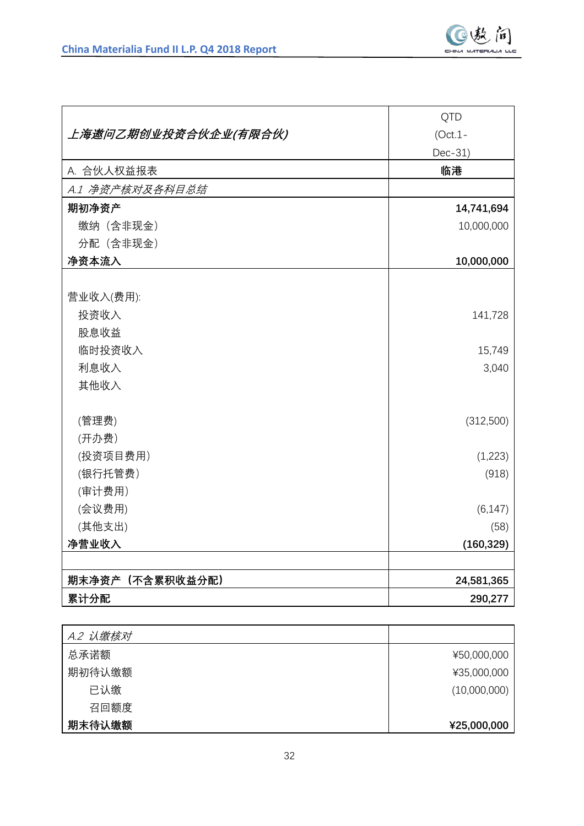

|                      | <b>QTD</b> |
|----------------------|------------|
| 上海遨问乙期创业投资合伙企业(有限合伙) | $(Oct.1 -$ |
|                      | Dec-31)    |
| A. 合伙人权益报表           | 临港         |
| A.1 净资产核对及各科目总结      |            |
| 期初净资产                | 14,741,694 |
| 缴纳 (含非现金)            | 10,000,000 |
| 分配 (含非现金)            |            |
| 净资本流入                | 10,000,000 |
|                      |            |
| 营业收入(费用):            |            |
| 投资收入                 | 141,728    |
| 股息收益                 |            |
| 临时投资收入               | 15,749     |
| 利息收入                 | 3,040      |
| 其他收入                 |            |
|                      |            |
| (管理费)                | (312,500)  |
| (开办费)                |            |
| (投资项目费用)             | (1,223)    |
| (银行托管费)              | (918)      |
| (审计费用)               |            |
| (会议费用)               | (6, 147)   |
| (其他支出)               | (58)       |
| 净营业收入                | (160, 329) |
|                      |            |
| 期末净资产(不含累积收益分配)      | 24,581,365 |
| 累计分配                 | 290,277    |

| A.2 认缴核对 |              |
|----------|--------------|
| 总承诺额     | ¥50,000,000  |
| 期初待认缴额   | ¥35,000,000  |
| 已认缴      | (10,000,000) |
| 召回额度     |              |
| 期末待认缴额   | ¥25,000,000  |